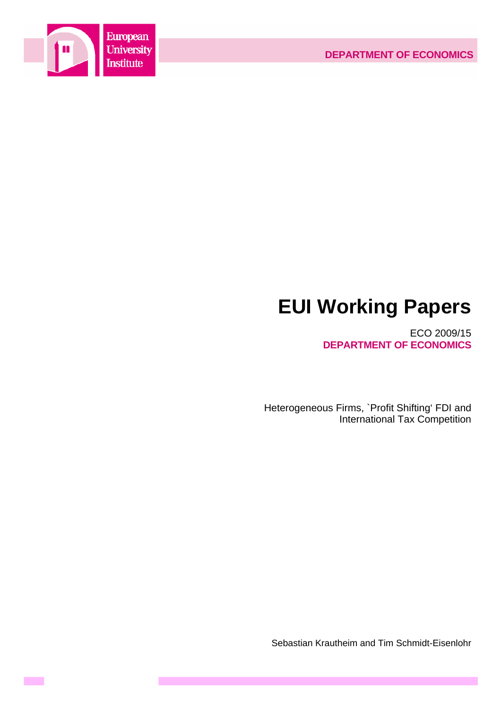

**Contract** 

# **EUI Working Papers**

ECO 2009/15 **DEPARTMENT OF ECONOMICS**

Heterogeneous Firms, `Profit Shifting' FDI and International Tax Competition

Sebastian Krautheim and Tim Schmidt-Eisenlohr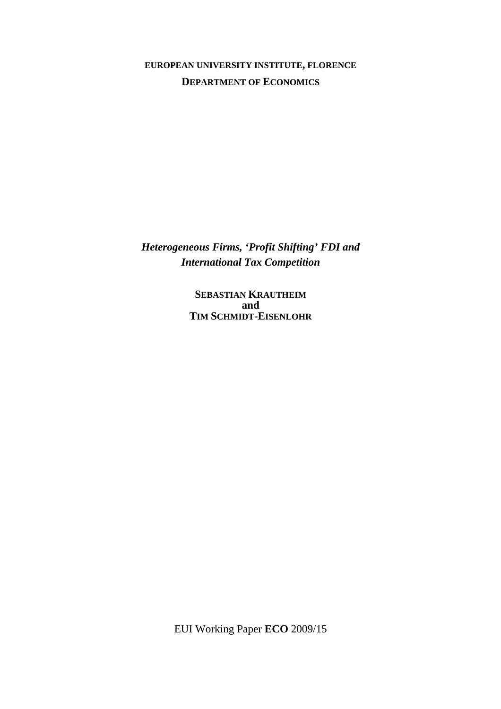**EUROPEAN UNIVERSITY INSTITUTE, FLORENCE DEPARTMENT OF ECONOMICS**

*Heterogeneous Firms, 'Profit Shifting' FDI and International Tax Competition* 

> **SEBASTIAN KRAUTHEIM and TIM SCHMIDT-EISENLOHR**

EUI Working Paper **ECO** 2009/15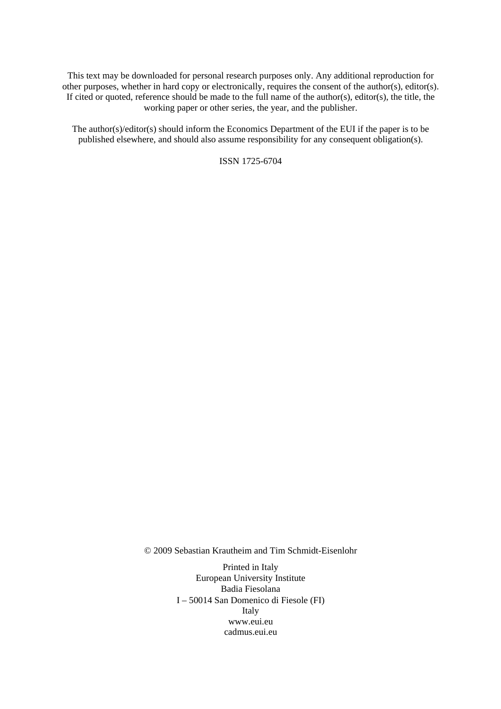This text may be downloaded for personal research purposes only. Any additional reproduction for other purposes, whether in hard copy or electronically, requires the consent of the author(s), editor(s). If cited or quoted, reference should be made to the full name of the author(s), editor(s), the title, the working paper or other series, the year, and the publisher.

The author(s)/editor(s) should inform the Economics Department of the EUI if the paper is to be published elsewhere, and should also assume responsibility for any consequent obligation(s).

ISSN 1725-6704

© 2009 Sebastian Krautheim and Tim Schmidt-Eisenlohr

Printed in Italy European University Institute Badia Fiesolana I – 50014 San Domenico di Fiesole (FI) Italy [www.eui.eu](http://www.eui.eu/)  [cadmus.eui.eu](http://www.eui.eu/)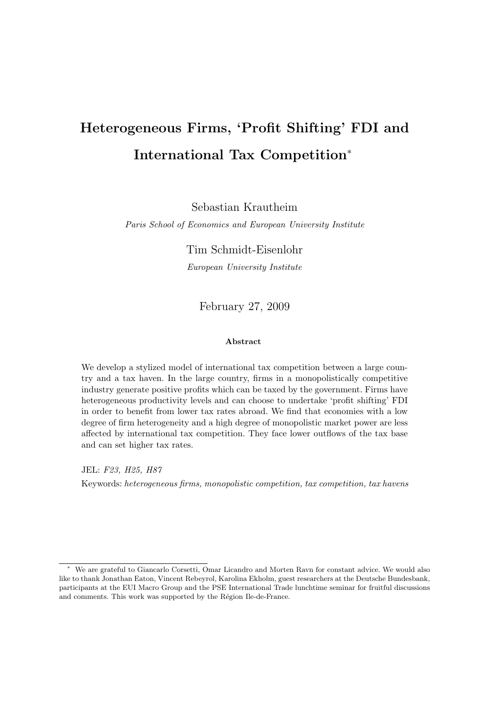## **Heterogeneous Firms, 'Profit Shifting' FDI and International Tax Competition**<sup>∗</sup>

Sebastian Krautheim

Paris School of Economics and European University Institute

Tim Schmidt-Eisenlohr

European University Institute

February 27, 2009

#### **Abstract**

We develop a stylized model of international tax competition between a large country and a tax haven. In the large country, firms in a monopolistically competitive industry generate positive profits which can be taxed by the government. Firms have heterogeneous productivity levels and can choose to undertake 'profit shifting' FDI in order to benefit from lower tax rates abroad. We find that economies with a low degree of firm heterogeneity and a high degree of monopolistic market power are less affected by international tax competition. They face lower outflows of the tax base and can set higher tax rates.

JEL: F23, H25, H87 Keywords: heterogeneous firms, monopolistic competition, tax competition, tax havens

We are grateful to Giancarlo Corsetti, Omar Licandro and Morten Ravn for constant advice. We would also like to thank Jonathan Eaton, Vincent Rebeyrol, Karolina Ekholm, guest researchers at the Deutsche Bundesbank, participants at the EUI Macro Group and the PSE International Trade lunchtime seminar for fruitful discussions and comments. This work was supported by the Région Ile-de-France.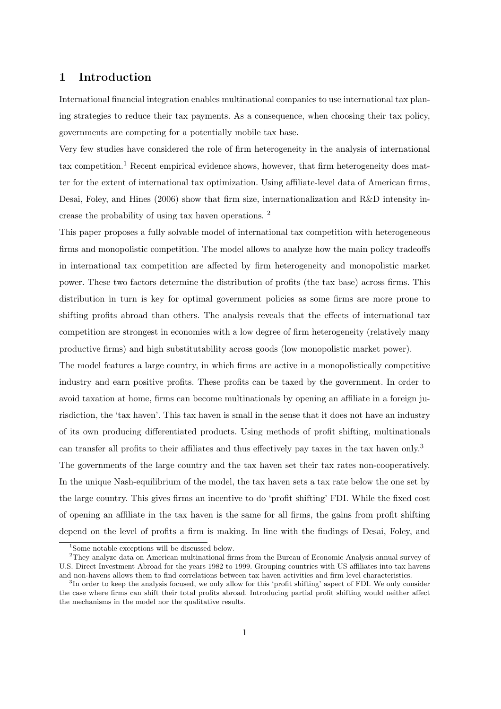## **1 Introduction**

International financial integration enables multinational companies to use international tax planing strategies to reduce their tax payments. As a consequence, when choosing their tax policy, governments are competing for a potentially mobile tax base.

Very few studies have considered the role of firm heterogeneity in the analysis of international tax competition.<sup>1</sup> Recent empirical evidence shows, however, that firm heterogeneity does matter for the extent of international tax optimization. Using affiliate-level data of American firms, Desai, Foley, and Hines (2006) show that firm size, internationalization and R&D intensity increase the probability of using tax haven operations. <sup>2</sup>

This paper proposes a fully solvable model of international tax competition with heterogeneous firms and monopolistic competition. The model allows to analyze how the main policy tradeoffs in international tax competition are affected by firm heterogeneity and monopolistic market power. These two factors determine the distribution of profits (the tax base) across firms. This distribution in turn is key for optimal government policies as some firms are more prone to shifting profits abroad than others. The analysis reveals that the effects of international tax competition are strongest in economies with a low degree of firm heterogeneity (relatively many productive firms) and high substitutability across goods (low monopolistic market power).

The model features a large country, in which firms are active in a monopolistically competitive industry and earn positive profits. These profits can be taxed by the government. In order to avoid taxation at home, firms can become multinationals by opening an affiliate in a foreign jurisdiction, the 'tax haven'. This tax haven is small in the sense that it does not have an industry of its own producing differentiated products. Using methods of profit shifting, multinationals can transfer all profits to their affiliates and thus effectively pay taxes in the tax haven only.<sup>3</sup> The governments of the large country and the tax haven set their tax rates non-cooperatively. In the unique Nash-equilibrium of the model, the tax haven sets a tax rate below the one set by the large country. This gives firms an incentive to do 'profit shifting' FDI. While the fixed cost of opening an affiliate in the tax haven is the same for all firms, the gains from profit shifting depend on the level of profits a firm is making. In line with the findings of Desai, Foley, and

<sup>&</sup>lt;sup>1</sup>Some notable exceptions will be discussed below.

<sup>2</sup>They analyze data on American multinational firms from the Bureau of Economic Analysis annual survey of U.S. Direct Investment Abroad for the years 1982 to 1999. Grouping countries with US affiliates into tax havens and non-havens allows them to find correlations between tax haven activities and firm level characteristics.

<sup>&</sup>lt;sup>3</sup>In order to keep the analysis focused, we only allow for this 'profit shifting' aspect of FDI. We only consider the case where firms can shift their total profits abroad. Introducing partial profit shifting would neither affect the mechanisms in the model nor the qualitative results.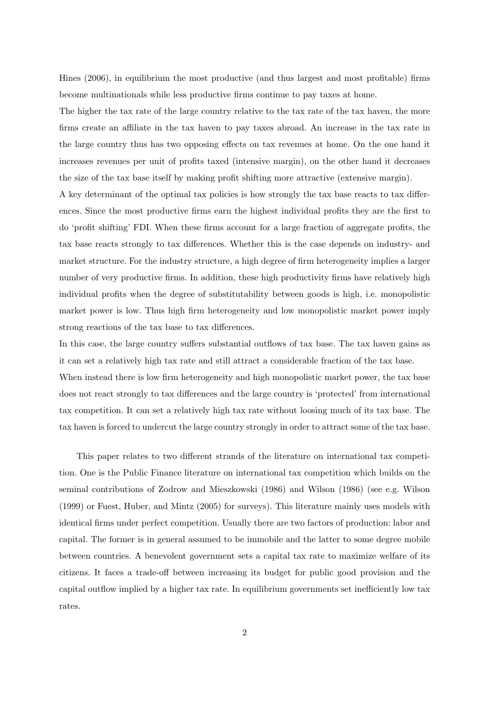Hines (2006), in equilibrium the most productive (and thus largest and most profitable) firms become multinationals while less productive firms continue to pay taxes at home.

The higher the tax rate of the large country relative to the tax rate of the tax haven, the more firms create an affiliate in the tax haven to pay taxes abroad. An increase in the tax rate in the large country thus has two opposing effects on tax revenues at home. On the one hand it increases revenues per unit of profits taxed (intensive margin), on the other hand it decreases the size of the tax base itself by making profit shifting more attractive (extensive margin).

A key determinant of the optimal tax policies is how strongly the tax base reacts to tax differences. Since the most productive firms earn the highest individual profits they are the first to do 'profit shifting' FDI. When these firms account for a large fraction of aggregate profits, the tax base reacts strongly to tax differences. Whether this is the case depends on industry- and market structure. For the industry structure, a high degree of firm heterogeneity implies a larger number of very productive firms. In addition, these high productivity firms have relatively high individual profits when the degree of substitutability between goods is high, i.e. monopolistic market power is low. Thus high firm heterogeneity and low monopolistic market power imply strong reactions of the tax base to tax differences.

In this case, the large country suffers substantial outflows of tax base. The tax haven gains as it can set a relatively high tax rate and still attract a considerable fraction of the tax base.

When instead there is low firm heterogeneity and high monopolistic market power, the tax base does not react strongly to tax differences and the large country is 'protected' from international tax competition. It can set a relatively high tax rate without loosing much of its tax base. The tax haven is forced to undercut the large country strongly in order to attract some of the tax base.

This paper relates to two different strands of the literature on international tax competition. One is the Public Finance literature on international tax competition which builds on the seminal contributions of Zodrow and Mieszkowski (1986) and Wilson (1986) (see e.g. Wilson (1999) or Fuest, Huber, and Mintz (2005) for surveys). This literature mainly uses models with identical firms under perfect competition. Usually there are two factors of production: labor and capital. The former is in general assumed to be immobile and the latter to some degree mobile between countries. A benevolent government sets a capital tax rate to maximize welfare of its citizens. It faces a trade-off between increasing its budget for public good provision and the capital outflow implied by a higher tax rate. In equilibrium governments set inefficiently low tax rates.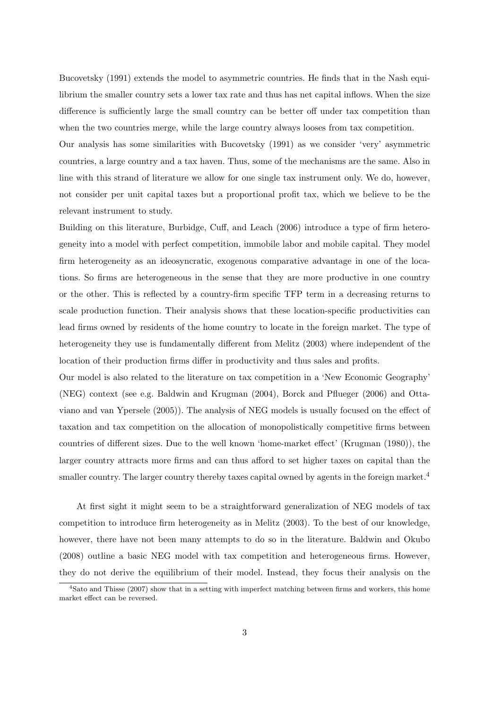Bucovetsky (1991) extends the model to asymmetric countries. He finds that in the Nash equilibrium the smaller country sets a lower tax rate and thus has net capital inflows. When the size difference is sufficiently large the small country can be better off under tax competition than when the two countries merge, while the large country always looses from tax competition.

Our analysis has some similarities with Bucovetsky (1991) as we consider 'very' asymmetric countries, a large country and a tax haven. Thus, some of the mechanisms are the same. Also in line with this strand of literature we allow for one single tax instrument only. We do, however, not consider per unit capital taxes but a proportional profit tax, which we believe to be the relevant instrument to study.

Building on this literature, Burbidge, Cuff, and Leach (2006) introduce a type of firm heterogeneity into a model with perfect competition, immobile labor and mobile capital. They model firm heterogeneity as an ideosyncratic, exogenous comparative advantage in one of the locations. So firms are heterogeneous in the sense that they are more productive in one country or the other. This is reflected by a country-firm specific TFP term in a decreasing returns to scale production function. Their analysis shows that these location-specific productivities can lead firms owned by residents of the home country to locate in the foreign market. The type of heterogeneity they use is fundamentally different from Melitz (2003) where independent of the location of their production firms differ in productivity and thus sales and profits.

Our model is also related to the literature on tax competition in a 'New Economic Geography' (NEG) context (see e.g. Baldwin and Krugman (2004), Borck and Pflueger (2006) and Ottaviano and van Ypersele (2005)). The analysis of NEG models is usually focused on the effect of taxation and tax competition on the allocation of monopolistically competitive firms between countries of different sizes. Due to the well known 'home-market effect' (Krugman (1980)), the larger country attracts more firms and can thus afford to set higher taxes on capital than the smaller country. The larger country thereby taxes capital owned by agents in the foreign market.<sup>4</sup>

At first sight it might seem to be a straightforward generalization of NEG models of tax competition to introduce firm heterogeneity as in Melitz (2003). To the best of our knowledge, however, there have not been many attempts to do so in the literature. Baldwin and Okubo (2008) outline a basic NEG model with tax competition and heterogeneous firms. However, they do not derive the equilibrium of their model. Instead, they focus their analysis on the

<sup>&</sup>lt;sup>4</sup>Sato and Thisse (2007) show that in a setting with imperfect matching between firms and workers, this home market effect can be reversed.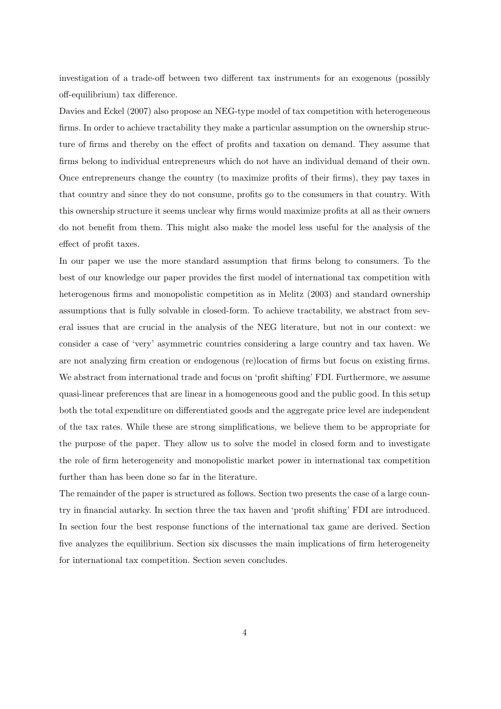investigation of a trade-off between two different tax instruments for an exogenous (possibly off-equilibrium) tax difference.

Davies and Eckel (2007) also propose an NEG-type model of tax competition with heterogeneous firms. In order to achieve tractability they make a particular assumption on the ownership structure of firms and thereby on the effect of profits and taxation on demand. They assume that firms belong to individual entrepreneurs which do not have an individual demand of their own. Once entrepreneurs change the country (to maximize profits of their firms), they pay taxes in that country and since they do not consume, profits go to the consumers in that country. With this ownership structure it seems unclear why firms would maximize profits at all as their owners do not benefit from them. This might also make the model less useful for the analysis of the effect of profit taxes.

In our paper we use the more standard assumption that firms belong to consumers. To the best of our knowledge our paper provides the first model of international tax competition with heterogenous firms and monopolistic competition as in Melitz (2003) and standard ownership assumptions that is fully solvable in closed-form. To achieve tractability, we abstract from several issues that are crucial in the analysis of the NEG literature, but not in our context: we consider a case of 'very' asymmetric countries considering a large country and tax haven. We are not analyzing firm creation or endogenous (re)location of firms but focus on existing firms. We abstract from international trade and focus on 'profit shifting' FDI. Furthermore, we assume quasi-linear preferences that are linear in a homogeneous good and the public good. In this setup both the total expenditure on differentiated goods and the aggregate price level are independent of the tax rates. While these are strong simplifications, we believe them to be appropriate for the purpose of the paper. They allow us to solve the model in closed form and to investigate the role of firm heterogeneity and monopolistic market power in international tax competition further than has been done so far in the literature.

The remainder of the paper is structured as follows. Section two presents the case of a large country in financial autarky. In section three the tax haven and 'profit shifting' FDI are introduced. In section four the best response functions of the international tax game are derived. Section five analyzes the equilibrium. Section six discusses the main implications of firm heterogeneity for international tax competition. Section seven concludes.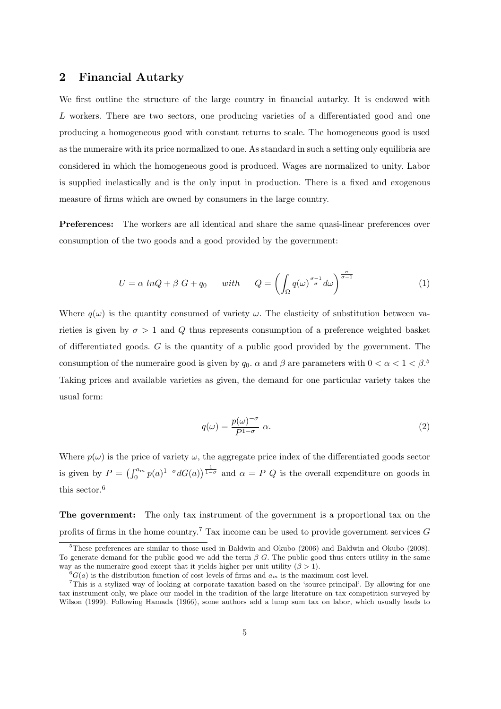### **2 Financial Autarky**

We first outline the structure of the large country in financial autarky. It is endowed with L workers. There are two sectors, one producing varieties of a differentiated good and one producing a homogeneous good with constant returns to scale. The homogeneous good is used as the numeraire with its price normalized to one. As standard in such a setting only equilibria are considered in which the homogeneous good is produced. Wages are normalized to unity. Labor is supplied inelastically and is the only input in production. There is a fixed and exogenous measure of firms which are owned by consumers in the large country.

**Preferences:** The workers are all identical and share the same quasi-linear preferences over consumption of the two goods and a good provided by the government:

$$
U = \alpha \ln Q + \beta \ G + q_0 \quad \text{with} \quad Q = \left( \int_{\Omega} q(\omega)^{\frac{\sigma - 1}{\sigma}} d\omega \right)^{\frac{\sigma}{\sigma - 1}} \tag{1}
$$

Where  $q(\omega)$  is the quantity consumed of variety  $\omega$ . The elasticity of substitution between varieties is given by  $\sigma > 1$  and Q thus represents consumption of a preference weighted basket of differentiated goods. G is the quantity of a public good provided by the government. The consumption of the numeraire good is given by  $q_0$ .  $\alpha$  and  $\beta$  are parameters with  $0 < \alpha < 1 < \beta$ .<sup>5</sup> Taking prices and available varieties as given, the demand for one particular variety takes the usual form:

$$
q(\omega) = \frac{p(\omega)^{-\sigma}}{P^{1-\sigma}} \alpha.
$$
 (2)

Where  $p(\omega)$  is the price of variety  $\omega$ , the aggregate price index of the differentiated goods sector is given by  $P = (\int_0^{a_m} p(a)^{1-\sigma} dG(a))^{\frac{1}{1-\sigma}}$  and  $\alpha = P Q$  is the overall expenditure on goods in this sector.<sup>6</sup>

**The government:** The only tax instrument of the government is a proportional tax on the profits of firms in the home country.<sup>7</sup> Tax income can be used to provide government services  $G$ 

<sup>5</sup>These preferences are similar to those used in Baldwin and Okubo (2006) and Baldwin and Okubo (2008). To generate demand for the public good we add the term  $\beta$  G. The public good thus enters utility in the same way as the numeraire good except that it yields higher per unit utility  $(\beta > 1)$ .

 $^{6}G(a)$  is the distribution function of cost levels of firms and  $a_m$  is the maximum cost level.

<sup>7</sup>This is a stylized way of looking at corporate taxation based on the 'source principal'. By allowing for one tax instrument only, we place our model in the tradition of the large literature on tax competition surveyed by Wilson (1999). Following Hamada (1966), some authors add a lump sum tax on labor, which usually leads to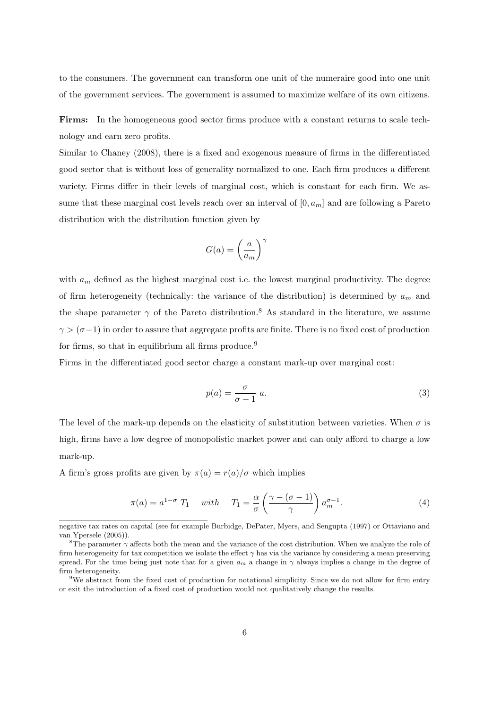to the consumers. The government can transform one unit of the numeraire good into one unit of the government services. The government is assumed to maximize welfare of its own citizens.

**Firms:** In the homogeneous good sector firms produce with a constant returns to scale technology and earn zero profits.

Similar to Chaney (2008), there is a fixed and exogenous measure of firms in the differentiated good sector that is without loss of generality normalized to one. Each firm produces a different variety. Firms differ in their levels of marginal cost, which is constant for each firm. We assume that these marginal cost levels reach over an interval of  $[0, a<sub>m</sub>]$  and are following a Pareto distribution with the distribution function given by

$$
G(a) = \left(\frac{a}{a_m}\right)^\gamma
$$

with  $a_m$  defined as the highest marginal cost i.e. the lowest marginal productivity. The degree of firm heterogeneity (technically: the variance of the distribution) is determined by  $a_m$  and the shape parameter  $\gamma$  of the Pareto distribution.<sup>8</sup> As standard in the literature, we assume  $\gamma > (\sigma - 1)$  in order to assure that aggregate profits are finite. There is no fixed cost of production for firms, so that in equilibrium all firms produce.<sup>9</sup>

Firms in the differentiated good sector charge a constant mark-up over marginal cost:

$$
p(a) = \frac{\sigma}{\sigma - 1} \ a.
$$
 (3)

The level of the mark-up depends on the elasticity of substitution between varieties. When  $\sigma$  is high, firms have a low degree of monopolistic market power and can only afford to charge a low mark-up.

A firm's gross profits are given by  $\pi(a) = r(a)/\sigma$  which implies

$$
\pi(a) = a^{1-\sigma} T_1 \quad with \quad T_1 = \frac{\alpha}{\sigma} \left( \frac{\gamma - (\sigma - 1)}{\gamma} \right) a_m^{\sigma - 1}.
$$
 (4)

negative tax rates on capital (see for example Burbidge, DePater, Myers, and Sengupta (1997) or Ottaviano and van Ypersele (2005)).

<sup>&</sup>lt;sup>8</sup>The parameter  $\gamma$  affects both the mean and the variance of the cost distribution. When we analyze the role of firm heterogeneity for tax competition we isolate the effect  $\gamma$  has via the variance by considering a mean preserving spread. For the time being just note that for a given  $a_m$  a change in  $\gamma$  always implies a change in the degree of firm heterogeneity.

<sup>&</sup>lt;sup>9</sup>We abstract from the fixed cost of production for notational simplicity. Since we do not allow for firm entry or exit the introduction of a fixed cost of production would not qualitatively change the results.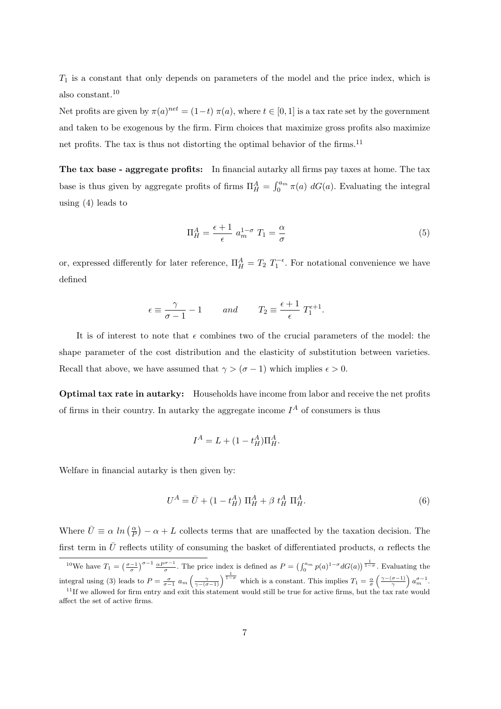$T_1$  is a constant that only depends on parameters of the model and the price index, which is also constant.<sup>10</sup>

Net profits are given by  $\pi(a)^{net} = (1-t) \pi(a)$ , where  $t \in [0,1]$  is a tax rate set by the government and taken to be exogenous by the firm. Firm choices that maximize gross profits also maximize net profits. The tax is thus not distorting the optimal behavior of the firms.<sup>11</sup>

**The tax base - aggregate profits:** In financial autarky all firms pay taxes at home. The tax base is thus given by aggregate profits of firms  $\Pi_H^A = \int_0^{a_m} \pi(a) dG(a)$ . Evaluating the integral using (4) leads to

$$
\Pi_H^A = \frac{\epsilon + 1}{\epsilon} a_m^{1-\sigma} T_1 = \frac{\alpha}{\sigma} \tag{5}
$$

or, expressed differently for later reference,  $\Pi_H^A = T_2 T_1^{-\epsilon}$ . For notational convenience we have defined

$$
\epsilon \equiv \frac{\gamma}{\sigma - 1} - 1
$$
 and  $T_2 \equiv \frac{\epsilon + 1}{\epsilon} T_1^{\epsilon + 1}$ .

It is of interest to note that  $\epsilon$  combines two of the crucial parameters of the model: the shape parameter of the cost distribution and the elasticity of substitution between varieties. Recall that above, we have assumed that  $\gamma > (\sigma - 1)$  which implies  $\epsilon > 0$ .

**Optimal tax rate in autarky:** Households have income from labor and receive the net profits of firms in their country. In autarky the aggregate income  $I^A$  of consumers is thus

$$
I^A = L + (1 - t_H^A) \Pi_H^A.
$$

Welfare in financial autarky is then given by:

$$
U^{A} = \bar{U} + (1 - t_{H}^{A}) \Pi_{H}^{A} + \beta t_{H}^{A} \Pi_{H}^{A}.
$$
\n(6)

Where  $\bar{U} \equiv \alpha \ln \left( \frac{\alpha}{P} \right) - \alpha + L$  collects terms that are unaffected by the taxation decision. The first term in  $\bar{U}$  reflects utility of consuming the basket of differentiated products,  $\alpha$  reflects the

<sup>&</sup>lt;sup>10</sup>We have  $T_1 = \left(\frac{\sigma-1}{\sigma}\right)^{\sigma-1} \frac{\alpha P^{\sigma-1}}{\sigma}$ . The price index is defined as  $P = \left(\int_0^{a_m} p(a)^{1-\sigma} dG(a)\right)^{\frac{1}{1-\sigma}}$ . Evaluating the integral using (3) leads to  $P = \frac{\sigma}{\sigma - 1} a_m \left( \frac{\gamma}{\gamma - (\sigma - 1)} \right)^{\frac{1}{1 - \sigma}}$  which is a constant. This implies  $T_1 = \frac{\alpha}{\sigma} \left( \frac{\gamma - (\sigma - 1)}{\gamma} \right) a_m^{\sigma - 1}$ .

 $11$ If we allowed for firm entry and exit this statement would still be true for active firms, but the tax rate would affect the set of active firms.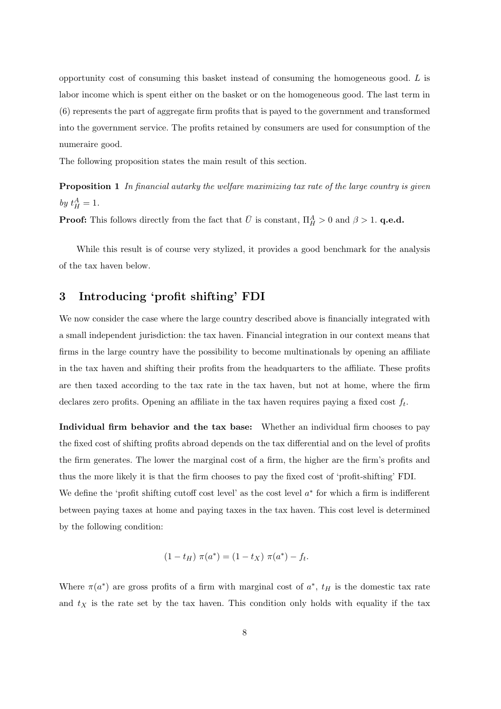opportunity cost of consuming this basket instead of consuming the homogeneous good.  $L$  is labor income which is spent either on the basket or on the homogeneous good. The last term in (6) represents the part of aggregate firm profits that is payed to the government and transformed into the government service. The profits retained by consumers are used for consumption of the numeraire good.

The following proposition states the main result of this section.

**Proposition 1** In financial autarky the welfare maximizing tax rate of the large country is given by  $t_H^A=1$ .

**Proof:** This follows directly from the fact that  $\bar{U}$  is constant,  $\Pi_H^A > 0$  and  $\beta > 1$ . **q.e.d.** 

While this result is of course very stylized, it provides a good benchmark for the analysis of the tax haven below.

## **3 Introducing 'profit shifting' FDI**

We now consider the case where the large country described above is financially integrated with a small independent jurisdiction: the tax haven. Financial integration in our context means that firms in the large country have the possibility to become multinationals by opening an affiliate in the tax haven and shifting their profits from the headquarters to the affiliate. These profits are then taxed according to the tax rate in the tax haven, but not at home, where the firm declares zero profits. Opening an affiliate in the tax haven requires paying a fixed cost  $f_t$ .

**Individual firm behavior and the tax base:** Whether an individual firm chooses to pay the fixed cost of shifting profits abroad depends on the tax differential and on the level of profits the firm generates. The lower the marginal cost of a firm, the higher are the firm's profits and thus the more likely it is that the firm chooses to pay the fixed cost of 'profit-shifting' FDI. We define the 'profit shifting cutoff cost level' as the cost level  $a^*$  for which a firm is indifferent between paying taxes at home and paying taxes in the tax haven. This cost level is determined by the following condition:

$$
(1 - t_H) \pi(a^*) = (1 - t_X) \pi(a^*) - f_t.
$$

Where  $\pi(a^*)$  are gross profits of a firm with marginal cost of  $a^*$ ,  $t_H$  is the domestic tax rate and  $t_X$  is the rate set by the tax haven. This condition only holds with equality if the tax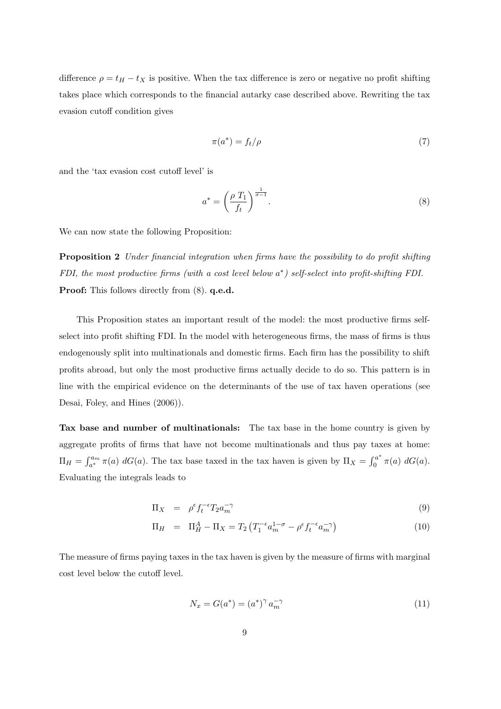difference  $\rho = t_H - t_X$  is positive. When the tax difference is zero or negative no profit shifting takes place which corresponds to the financial autarky case described above. Rewriting the tax evasion cutoff condition gives

$$
\pi(a^*) = f_t/\rho \tag{7}
$$

and the 'tax evasion cost cutoff level' is

$$
a^* = \left(\frac{\rho T_1}{f_t}\right)^{\frac{1}{\sigma - 1}}.\tag{8}
$$

We can now state the following Proposition:

**Proposition 2** Under financial integration when firms have the possibility to do profit shifting FDI, the most productive firms (with a cost level below a∗) self-select into profit-shifting FDI. **Proof:** This follows directly from (8). **q.e.d.**

This Proposition states an important result of the model: the most productive firms selfselect into profit shifting FDI. In the model with heterogeneous firms, the mass of firms is thus endogenously split into multinationals and domestic firms. Each firm has the possibility to shift profits abroad, but only the most productive firms actually decide to do so. This pattern is in line with the empirical evidence on the determinants of the use of tax haven operations (see Desai, Foley, and Hines (2006)).

**Tax base and number of multinationals:** The tax base in the home country is given by aggregate profits of firms that have not become multinationals and thus pay taxes at home:  $\Pi_H = \int_{a^*}^{a_m} \pi(a) dG(a)$ . The tax base taxed in the tax haven is given by  $\Pi_X = \int_0^{a^*} \pi(a) dG(a)$ . Evaluating the integrals leads to

$$
\Pi_X = \rho^{\epsilon} f_t^{-\epsilon} T_2 a_m^{-\gamma} \tag{9}
$$

$$
\Pi_H = \Pi_H^A - \Pi_X = T_2 \left( T_1^{-\epsilon} a_m^{1-\sigma} - \rho^{\epsilon} f_t^{-\epsilon} a_m^{-\gamma} \right) \tag{10}
$$

The measure of firms paying taxes in the tax haven is given by the measure of firms with marginal cost level below the cutoff level.

$$
N_x = G(a^*) = (a^*)^{\gamma} a_m^{-\gamma}
$$
\n(11)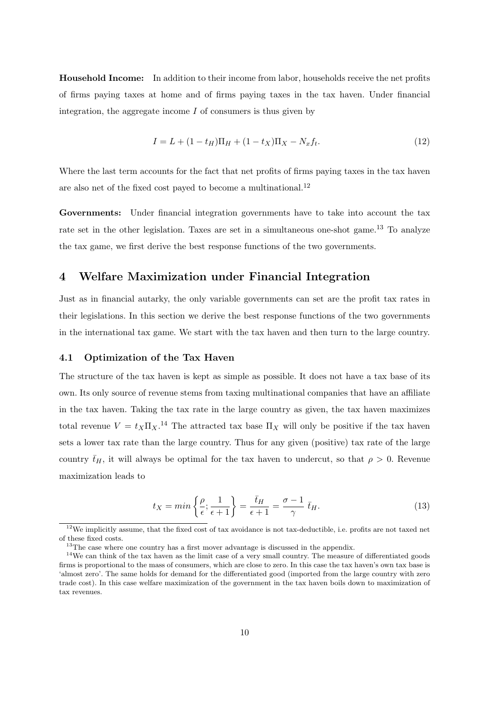**Household Income:** In addition to their income from labor, households receive the net profits of firms paying taxes at home and of firms paying taxes in the tax haven. Under financial integration, the aggregate income  $I$  of consumers is thus given by

$$
I = L + (1 - t_H)\Pi_H + (1 - t_X)\Pi_X - N_x f_t.
$$
\n(12)

Where the last term accounts for the fact that net profits of firms paying taxes in the tax haven are also net of the fixed cost payed to become a multinational.<sup>12</sup>

**Governments:** Under financial integration governments have to take into account the tax rate set in the other legislation. Taxes are set in a simultaneous one-shot game.<sup>13</sup> To analyze the tax game, we first derive the best response functions of the two governments.

## **4 Welfare Maximization under Financial Integration**

Just as in financial autarky, the only variable governments can set are the profit tax rates in their legislations. In this section we derive the best response functions of the two governments in the international tax game. We start with the tax haven and then turn to the large country.

#### **4.1 Optimization of the Tax Haven**

The structure of the tax haven is kept as simple as possible. It does not have a tax base of its own. Its only source of revenue stems from taxing multinational companies that have an affiliate in the tax haven. Taking the tax rate in the large country as given, the tax haven maximizes total revenue  $V = t_X \Pi_X$ .<sup>14</sup> The attracted tax base  $\Pi_X$  will only be positive if the tax haven sets a lower tax rate than the large country. Thus for any given (positive) tax rate of the large country  $\bar{t}_H$ , it will always be optimal for the tax haven to undercut, so that  $\rho > 0$ . Revenue maximization leads to

$$
t_X = \min\left\{\frac{\rho}{\epsilon}; \frac{1}{\epsilon+1}\right\} = \frac{\bar{t}_H}{\epsilon+1} = \frac{\sigma-1}{\gamma} \bar{t}_H.
$$
\n(13)

 $12$ We implicitly assume, that the fixed cost of tax avoidance is not tax-deductible, i.e. profits are not taxed net of these fixed costs.

 $^{13}\mathrm{The}$  case where one country has a first mover advantage is discussed in the appendix.

<sup>&</sup>lt;sup>14</sup>We can think of the tax haven as the limit case of a very small country. The measure of differentiated goods firms is proportional to the mass of consumers, which are close to zero. In this case the tax haven's own tax base is 'almost zero'. The same holds for demand for the differentiated good (imported from the large country with zero trade cost). In this case welfare maximization of the government in the tax haven boils down to maximization of tax revenues.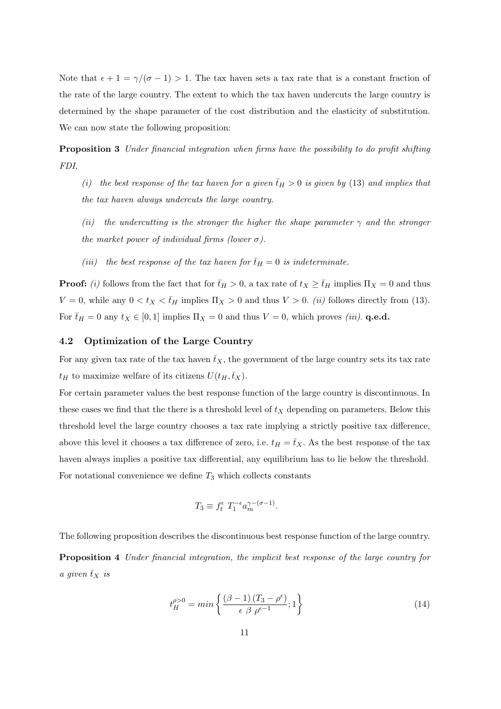Note that  $\epsilon + 1 = \gamma/(\sigma - 1) > 1$ . The tax haven sets a tax rate that is a constant fraction of the rate of the large country. The extent to which the tax haven undercuts the large country is determined by the shape parameter of the cost distribution and the elasticity of substitution. We can now state the following proposition:

**Proposition 3** Under financial integration when firms have the possibility to do profit shifting FDI,

- (i) the best response of the tax haven for a given  $\bar{t}_H > 0$  is given by (13) and implies that the tax haven always undercuts the large country.
- (ii) the undercutting is the stronger the higher the shape parameter  $\gamma$  and the stronger the market power of individual firms (lower  $\sigma$ ).
- (iii) the best response of the tax haven for  $\bar{t}_H = 0$  is indeterminate.

**Proof:** (i) follows from the fact that for  $\bar{t}_H > 0$ , a tax rate of  $t_X \ge \bar{t}_H$  implies  $\Pi_X = 0$  and thus  $V = 0$ , while any  $0 < t_X < \bar{t}_H$  implies  $\Pi_X > 0$  and thus  $V > 0$ . *(ii)* follows directly from (13). For  $\bar{t}_H = 0$  any  $t_X \in [0, 1]$  implies  $\Pi_X = 0$  and thus  $V = 0$ , which proves *(iii)*. **q.e.d.** 

#### **4.2 Optimization of the Large Country**

For any given tax rate of the tax haven  $\bar{t}_X$ , the government of the large country sets its tax rate  $t_H$  to maximize welfare of its citizens  $U(t_H, \bar{t}_X)$ .

For certain parameter values the best response function of the large country is discontinuous. In these cases we find that the there is a threshold level of  $t_X$  depending on parameters. Below this threshold level the large country chooses a tax rate implying a strictly positive tax difference, above this level it chooses a tax difference of zero, i.e.  $t_H = \bar{t}_X$ . As the best response of the tax haven always implies a positive tax differential, any equilibrium has to lie below the threshold. For notational convenience we define  $T_3$  which collects constants

$$
T_3 \equiv f_t^{\epsilon} T_1^{-\epsilon} a_m^{\gamma - (\sigma - 1)}.
$$

The following proposition describes the discontinuous best response function of the large country. **Proposition 4** Under financial integration, the implicit best response of the large country for a given  $\bar{t}_X$  is

$$
t_H^{\rho > 0} = \min\left\{ \frac{(\beta - 1)\left(T_3 - \rho^\epsilon\right)}{\epsilon \ \beta \ \rho^{\epsilon - 1}}; 1 \right\} \tag{14}
$$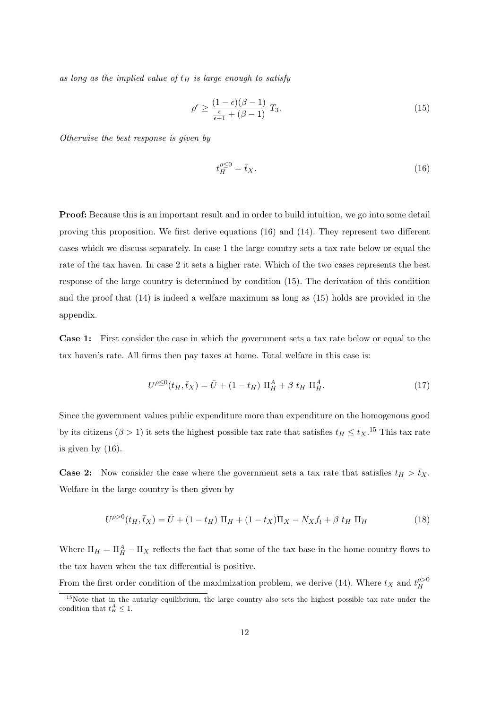as long as the implied value of  $t_H$  is large enough to satisfy

$$
\rho^{\epsilon} \ge \frac{(1 - \epsilon)(\beta - 1)}{\frac{\epsilon}{\epsilon + 1} + (\beta - 1)} T_3. \tag{15}
$$

Otherwise the best response is given by

$$
t_H^{\rho \le 0} = \bar{t}_X. \tag{16}
$$

**Proof:** Because this is an important result and in order to build intuition, we go into some detail proving this proposition. We first derive equations (16) and (14). They represent two different cases which we discuss separately. In case 1 the large country sets a tax rate below or equal the rate of the tax haven. In case 2 it sets a higher rate. Which of the two cases represents the best response of the large country is determined by condition (15). The derivation of this condition and the proof that (14) is indeed a welfare maximum as long as (15) holds are provided in the appendix.

**Case 1:** First consider the case in which the government sets a tax rate below or equal to the tax haven's rate. All firms then pay taxes at home. Total welfare in this case is:

$$
U^{\rho \leq 0}(t_H, \bar{t}_X) = \bar{U} + (1 - t_H) \Pi_H^A + \beta t_H \Pi_H^A.
$$
 (17)

Since the government values public expenditure more than expenditure on the homogenous good by its citizens ( $\beta > 1$ ) it sets the highest possible tax rate that satisfies  $t_H \le \bar{t}_X$ .<sup>15</sup> This tax rate is given by (16).

**Case 2:** Now consider the case where the government sets a tax rate that satisfies  $t_H > \bar{t}_X$ . Welfare in the large country is then given by

$$
U^{\rho>0}(t_H, \bar{t}_X) = \bar{U} + (1 - t_H) \Pi_H + (1 - t_X) \Pi_X - N_X f_t + \beta t_H \Pi_H
$$
\n(18)

Where  $\Pi_H = \Pi_H^A - \Pi_X$  reflects the fact that some of the tax base in the home country flows to the tax haven when the tax differential is positive.

From the first order condition of the maximization problem, we derive (14). Where  $t_X$  and  $t_H^{\rho>0}$ H

<sup>&</sup>lt;sup>15</sup>Note that in the autarky equilibrium, the large country also sets the highest possible tax rate under the condition that  $t_H^A \leq 1$ .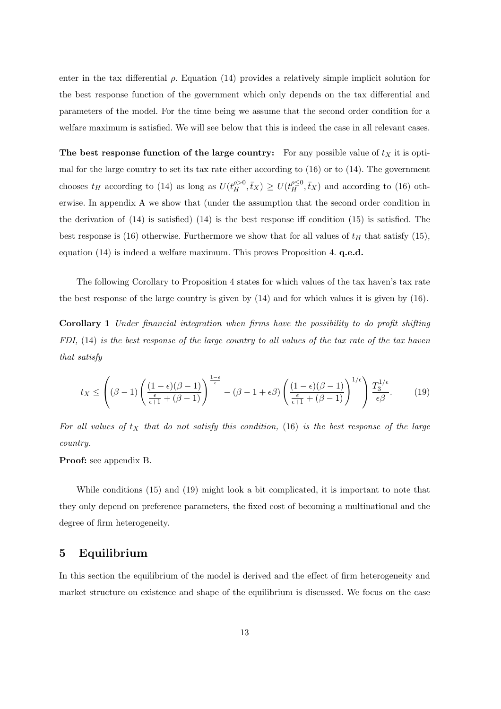enter in the tax differential  $\rho$ . Equation (14) provides a relatively simple implicit solution for the best response function of the government which only depends on the tax differential and parameters of the model. For the time being we assume that the second order condition for a welfare maximum is satisfied. We will see below that this is indeed the case in all relevant cases.

**The best response function of the large country:** For any possible value of  $t_X$  it is optimal for the large country to set its tax rate either according to (16) or to (14). The government chooses  $t_H$  according to (14) as long as  $U(t_H^{\rho>0}, \bar{t}_X) \geq U(t_H^{\rho\leq 0}, \bar{t}_X)$  and according to (16) otherwise. In appendix A we show that (under the assumption that the second order condition in the derivation of (14) is satisfied) (14) is the best response iff condition (15) is satisfied. The best response is (16) otherwise. Furthermore we show that for all values of  $t_H$  that satisfy (15), equation (14) is indeed a welfare maximum. This proves Proposition 4. **q.e.d.**

The following Corollary to Proposition 4 states for which values of the tax haven's tax rate the best response of the large country is given by (14) and for which values it is given by (16).

**Corollary 1** Under financial integration when firms have the possibility to do profit shifting FDI, (14) is the best response of the large country to all values of the tax rate of the tax haven that satisfy

$$
t_X \le \left( (\beta - 1) \left( \frac{(1 - \epsilon)(\beta - 1)}{\frac{\epsilon}{\epsilon + 1} + (\beta - 1)} \right)^{\frac{1 - \epsilon}{\epsilon}} - (\beta - 1 + \epsilon \beta) \left( \frac{(1 - \epsilon)(\beta - 1)}{\frac{\epsilon}{\epsilon + 1} + (\beta - 1)} \right)^{1/\epsilon} \right) \frac{T_3^{1/\epsilon}}{\epsilon \beta}.
$$
 (19)

For all values of  $t<sub>X</sub>$  that do not satisfy this condition, (16) is the best response of the large country.

**Proof:** see appendix B.

While conditions (15) and (19) might look a bit complicated, it is important to note that they only depend on preference parameters, the fixed cost of becoming a multinational and the degree of firm heterogeneity.

## **5 Equilibrium**

In this section the equilibrium of the model is derived and the effect of firm heterogeneity and market structure on existence and shape of the equilibrium is discussed. We focus on the case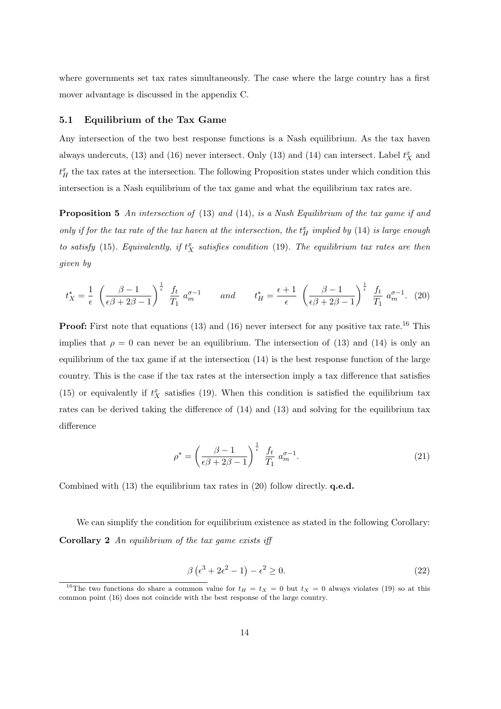where governments set tax rates simultaneously. The case where the large country has a first mover advantage is discussed in the appendix C.

#### **5.1 Equilibrium of the Tax Game**

Any intersection of the two best response functions is a Nash equilibrium. As the tax haven always undercuts, (13) and (16) never intersect. Only (13) and (14) can intersect. Label  $t_X^x$  and  $t_H^x$  the tax rates at the intersection. The following Proposition states under which condition this intersection is a Nash equilibrium of the tax game and what the equilibrium tax rates are.

**Proposition 5** An intersection of (13) and (14), is a Nash Equilibrium of the tax game if and only if for the tax rate of the tax haven at the intersection, the  $t_H^x$  implied by (14) is large enough to satisfy (15). Equivalently, if  $t_X^x$  satisfies condition (19). The equilibrium tax rates are then given by

$$
t_X^* = \frac{1}{\epsilon} \left( \frac{\beta - 1}{\epsilon \beta + 2\beta - 1} \right)^{\frac{1}{\epsilon}} \frac{f_t}{T_1} a_m^{\sigma - 1} \qquad and \qquad t_H^* = \frac{\epsilon + 1}{\epsilon} \left( \frac{\beta - 1}{\epsilon \beta + 2\beta - 1} \right)^{\frac{1}{\epsilon}} \frac{f_t}{T_1} a_m^{\sigma - 1}. \tag{20}
$$

**Proof:** First note that equations (13) and (16) never intersect for any positive tax rate.<sup>16</sup> This implies that  $\rho = 0$  can never be an equilibrium. The intersection of (13) and (14) is only an equilibrium of the tax game if at the intersection (14) is the best response function of the large country. This is the case if the tax rates at the intersection imply a tax difference that satisfies (15) or equivalently if  $t_X^x$  satisfies (19). When this condition is satisfied the equilibrium tax rates can be derived taking the difference of (14) and (13) and solving for the equilibrium tax difference

$$
\rho^* = \left(\frac{\beta - 1}{\epsilon \beta + 2\beta - 1}\right)^{\frac{1}{\epsilon}} \frac{f_t}{T_1} a_m^{\sigma - 1}.
$$
\n(21)

Combined with (13) the equilibrium tax rates in (20) follow directly. **q.e.d.**

We can simplify the condition for equilibrium existence as stated in the following Corollary: **Corollary 2** An equilibrium of the tax game exists iff

$$
\beta\left(\epsilon^3 + 2\epsilon^2 - 1\right) - \epsilon^2 \ge 0. \tag{22}
$$

<sup>&</sup>lt;sup>16</sup>The two functions do share a common value for  $t_H = t_X = 0$  but  $t_X = 0$  always violates (19) so at this common point (16) does not coincide with the best response of the large country.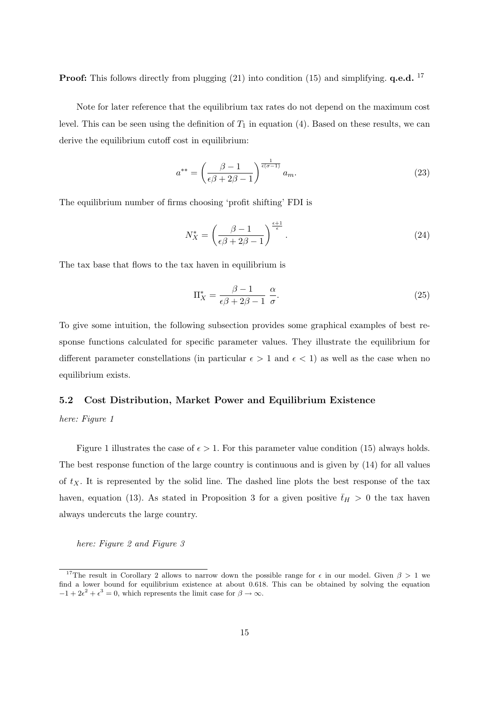**Proof:** This follows directly from plugging (21) into condition (15) and simplifying. **q.e.d.** <sup>17</sup>

Note for later reference that the equilibrium tax rates do not depend on the maximum cost level. This can be seen using the definition of  $T_1$  in equation (4). Based on these results, we can derive the equilibrium cutoff cost in equilibrium:

$$
a^{**} = \left(\frac{\beta - 1}{\epsilon\beta + 2\beta - 1}\right)^{\frac{1}{\epsilon(\sigma - 1)}} a_m.
$$
\n(23)

The equilibrium number of firms choosing 'profit shifting' FDI is

$$
N_X^* = \left(\frac{\beta - 1}{\epsilon \beta + 2\beta - 1}\right)^{\frac{\epsilon + 1}{\epsilon}}.\tag{24}
$$

The tax base that flows to the tax haven in equilibrium is

$$
\Pi_X^* = \frac{\beta - 1}{\epsilon \beta + 2\beta - 1} \frac{\alpha}{\sigma}.
$$
\n(25)

To give some intuition, the following subsection provides some graphical examples of best response functions calculated for specific parameter values. They illustrate the equilibrium for different parameter constellations (in particular  $\epsilon > 1$  and  $\epsilon < 1$ ) as well as the case when no equilibrium exists.

#### **5.2 Cost Distribution, Market Power and Equilibrium Existence**

here: Figure 1

Figure 1 illustrates the case of  $\epsilon > 1$ . For this parameter value condition (15) always holds. The best response function of the large country is continuous and is given by (14) for all values of  $t<sub>X</sub>$ . It is represented by the solid line. The dashed line plots the best response of the tax haven, equation (13). As stated in Proposition 3 for a given positive  $\bar{t}_H > 0$  the tax haven always undercuts the large country.

here: Figure 2 and Figure 3

<sup>&</sup>lt;sup>17</sup>The result in Corollary 2 allows to narrow down the possible range for  $\epsilon$  in our model. Given  $\beta > 1$  we find a lower bound for equilibrium existence at about 0.618. This can be obtained by solving the equation  $-1+2\epsilon^2+\epsilon^3=0$ , which represents the limit case for  $\beta \to \infty$ .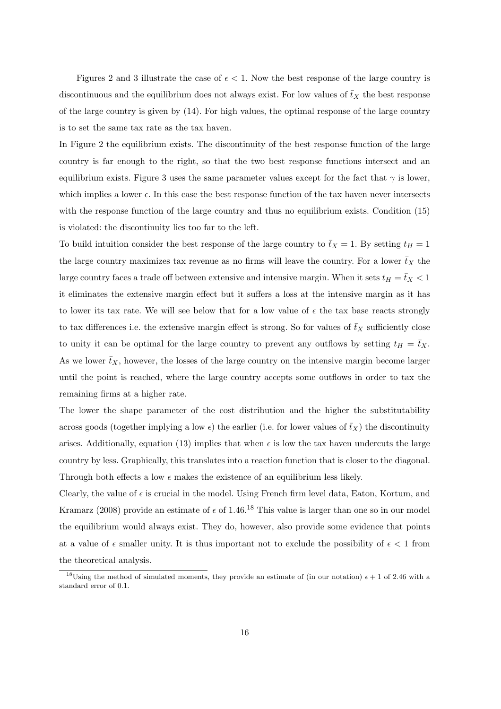Figures 2 and 3 illustrate the case of  $\epsilon$  < 1. Now the best response of the large country is discontinuous and the equilibrium does not always exist. For low values of  $\bar{t}_X$  the best response of the large country is given by (14). For high values, the optimal response of the large country is to set the same tax rate as the tax haven.

In Figure 2 the equilibrium exists. The discontinuity of the best response function of the large country is far enough to the right, so that the two best response functions intersect and an equilibrium exists. Figure 3 uses the same parameter values except for the fact that  $\gamma$  is lower, which implies a lower  $\epsilon$ . In this case the best response function of the tax haven never intersects with the response function of the large country and thus no equilibrium exists. Condition (15) is violated: the discontinuity lies too far to the left.

To build intuition consider the best response of the large country to  $\bar{t}_X = 1$ . By setting  $t_H = 1$ the large country maximizes tax revenue as no firms will leave the country. For a lower  $\bar{t}_X$  the large country faces a trade off between extensive and intensive margin. When it sets  $t_H = \bar{t}_X < 1$ it eliminates the extensive margin effect but it suffers a loss at the intensive margin as it has to lower its tax rate. We will see below that for a low value of  $\epsilon$  the tax base reacts strongly to tax differences i.e. the extensive margin effect is strong. So for values of  $\bar{t}_X$  sufficiently close to unity it can be optimal for the large country to prevent any outflows by setting  $t_H = \bar{t}_X$ . As we lower  $\bar{t}_X$ , however, the losses of the large country on the intensive margin become larger until the point is reached, where the large country accepts some outflows in order to tax the remaining firms at a higher rate.

The lower the shape parameter of the cost distribution and the higher the substitutability across goods (together implying a low  $\epsilon$ ) the earlier (i.e. for lower values of  $\bar{t}_X$ ) the discontinuity arises. Additionally, equation (13) implies that when  $\epsilon$  is low the tax haven undercuts the large country by less. Graphically, this translates into a reaction function that is closer to the diagonal. Through both effects a low  $\epsilon$  makes the existence of an equilibrium less likely.

Clearly, the value of  $\epsilon$  is crucial in the model. Using French firm level data, Eaton, Kortum, and Kramarz (2008) provide an estimate of  $\epsilon$  of 1.46.<sup>18</sup> This value is larger than one so in our model the equilibrium would always exist. They do, however, also provide some evidence that points at a value of  $\epsilon$  smaller unity. It is thus important not to exclude the possibility of  $\epsilon$  < 1 from the theoretical analysis.

<sup>&</sup>lt;sup>18</sup>Using the method of simulated moments, they provide an estimate of (in our notation)  $\epsilon + 1$  of 2.46 with a standard error of 0.1.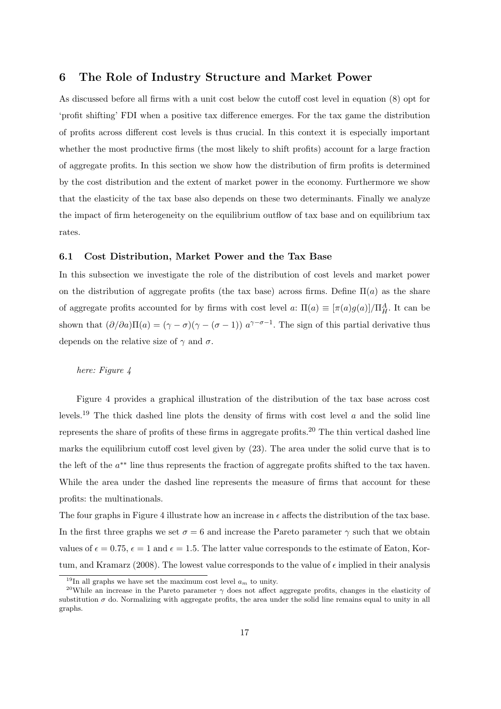## **6 The Role of Industry Structure and Market Power**

As discussed before all firms with a unit cost below the cutoff cost level in equation (8) opt for 'profit shifting' FDI when a positive tax difference emerges. For the tax game the distribution of profits across different cost levels is thus crucial. In this context it is especially important whether the most productive firms (the most likely to shift profits) account for a large fraction of aggregate profits. In this section we show how the distribution of firm profits is determined by the cost distribution and the extent of market power in the economy. Furthermore we show that the elasticity of the tax base also depends on these two determinants. Finally we analyze the impact of firm heterogeneity on the equilibrium outflow of tax base and on equilibrium tax rates.

#### **6.1 Cost Distribution, Market Power and the Tax Base**

In this subsection we investigate the role of the distribution of cost levels and market power on the distribution of aggregate profits (the tax base) across firms. Define  $\Pi(a)$  as the share of aggregate profits accounted for by firms with cost level  $a: \Pi(a) \equiv [\pi(a)g(a)]/\Pi_H^A$ . It can be shown that  $(\partial/\partial a)\Pi(a)=(\gamma-\sigma)(\gamma-(\sigma-1))$   $a^{\gamma-\sigma-1}$ . The sign of this partial derivative thus depends on the relative size of  $\gamma$  and  $\sigma$ .

#### here: Figure 4

Figure 4 provides a graphical illustration of the distribution of the tax base across cost levels.<sup>19</sup> The thick dashed line plots the density of firms with cost level a and the solid line represents the share of profits of these firms in aggregate profits.<sup>20</sup> The thin vertical dashed line marks the equilibrium cutoff cost level given by (23). The area under the solid curve that is to the left of the a∗∗ line thus represents the fraction of aggregate profits shifted to the tax haven. While the area under the dashed line represents the measure of firms that account for these profits: the multinationals.

The four graphs in Figure 4 illustrate how an increase in  $\epsilon$  affects the distribution of the tax base. In the first three graphs we set  $\sigma = 6$  and increase the Pareto parameter  $\gamma$  such that we obtain values of  $\epsilon = 0.75$ ,  $\epsilon = 1$  and  $\epsilon = 1.5$ . The latter value corresponds to the estimate of Eaton, Kortum, and Kramarz (2008). The lowest value corresponds to the value of  $\epsilon$  implied in their analysis

<sup>&</sup>lt;sup>19</sup>In all graphs we have set the maximum cost level  $a_m$  to unity.

<sup>&</sup>lt;sup>20</sup>While an increase in the Pareto parameter  $\gamma$  does not affect aggregate profits, changes in the elasticity of substitution  $\sigma$  do. Normalizing with aggregate profits, the area under the solid line remains equal to unity in all graphs.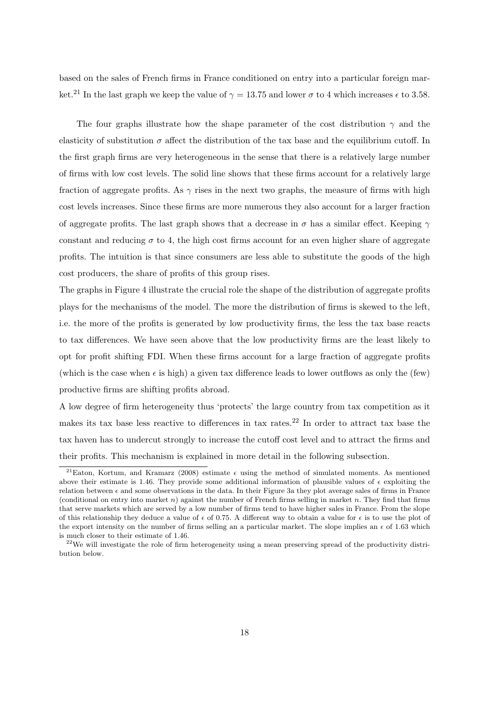based on the sales of French firms in France conditioned on entry into a particular foreign market.<sup>21</sup> In the last graph we keep the value of  $\gamma = 13.75$  and lower  $\sigma$  to 4 which increases  $\epsilon$  to 3.58.

The four graphs illustrate how the shape parameter of the cost distribution  $\gamma$  and the elasticity of substitution  $\sigma$  affect the distribution of the tax base and the equilibrium cutoff. In the first graph firms are very heterogeneous in the sense that there is a relatively large number of firms with low cost levels. The solid line shows that these firms account for a relatively large fraction of aggregate profits. As  $\gamma$  rises in the next two graphs, the measure of firms with high cost levels increases. Since these firms are more numerous they also account for a larger fraction of aggregate profits. The last graph shows that a decrease in  $\sigma$  has a similar effect. Keeping  $\gamma$ constant and reducing  $\sigma$  to 4, the high cost firms account for an even higher share of aggregate profits. The intuition is that since consumers are less able to substitute the goods of the high cost producers, the share of profits of this group rises.

The graphs in Figure 4 illustrate the crucial role the shape of the distribution of aggregate profits plays for the mechanisms of the model. The more the distribution of firms is skewed to the left, i.e. the more of the profits is generated by low productivity firms, the less the tax base reacts to tax differences. We have seen above that the low productivity firms are the least likely to opt for profit shifting FDI. When these firms account for a large fraction of aggregate profits (which is the case when  $\epsilon$  is high) a given tax difference leads to lower outflows as only the (few) productive firms are shifting profits abroad.

A low degree of firm heterogeneity thus 'protects' the large country from tax competition as it makes its tax base less reactive to differences in tax rates.<sup>22</sup> In order to attract tax base the tax haven has to undercut strongly to increase the cutoff cost level and to attract the firms and their profits. This mechanism is explained in more detail in the following subsection.

<sup>&</sup>lt;sup>21</sup>Eaton, Kortum, and Kramarz (2008) estimate  $\epsilon$  using the method of simulated moments. As mentioned above their estimate is 1.46. They provide some additional information of plausible values of  $\epsilon$  exploiting the relation between  $\epsilon$  and some observations in the data. In their Figure 3a they plot average sales of firms in France (conditional on entry into market n) against the number of French firms selling in market n. They find that firms that serve markets which are served by a low number of firms tend to have higher sales in France. From the slope of this relationship they deduce a value of  $\epsilon$  of 0.75. A different way to obtain a value for  $\epsilon$  is to use the plot of the export intensity on the number of firms selling an a particular market. The slope implies an  $\epsilon$  of 1.63 which is much closer to their estimate of 1.46.

 $22$ We will investigate the role of firm heterogeneity using a mean preserving spread of the productivity distribution below.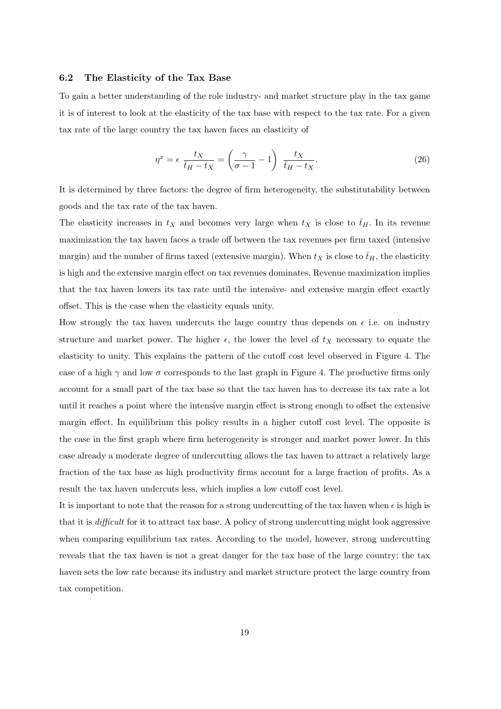#### **6.2 The Elasticity of the Tax Base**

To gain a better understanding of the role industry- and market structure play in the tax game it is of interest to look at the elasticity of the tax base with respect to the tax rate. For a given tax rate of the large country the tax haven faces an elasticity of

$$
\eta^x = \epsilon \frac{t_X}{\bar{t}_H - t_X} = \left(\frac{\gamma}{\sigma - 1} - 1\right) \frac{t_X}{\bar{t}_H - t_X}.
$$
\n(26)

It is determined by three factors: the degree of firm heterogeneity, the substitutability between goods and the tax rate of the tax haven.

The elasticity increases in  $t_X$  and becomes very large when  $t_X$  is close to  $\bar{t}_H$ . In its revenue maximization the tax haven faces a trade off between the tax revenues per firm taxed (intensive margin) and the number of firms taxed (extensive margin). When  $t_X$  is close to  $\bar{t}_H$ , the elasticity is high and the extensive margin effect on tax revenues dominates. Revenue maximization implies that the tax haven lowers its tax rate until the intensive- and extensive margin effect exactly offset. This is the case when the elasticity equals unity.

How strongly the tax haven undercuts the large country thus depends on  $\epsilon$  i.e. on industry structure and market power. The higher  $\epsilon$ , the lower the level of  $t_X$  necessary to equate the elasticity to unity. This explains the pattern of the cutoff cost level observed in Figure 4. The case of a high  $\gamma$  and low  $\sigma$  corresponds to the last graph in Figure 4. The productive firms only account for a small part of the tax base so that the tax haven has to decrease its tax rate a lot until it reaches a point where the intensive margin effect is strong enough to offset the extensive margin effect. In equilibrium this policy results in a higher cutoff cost level. The opposite is the case in the first graph where firm heterogeneity is stronger and market power lower. In this case already a moderate degree of undercutting allows the tax haven to attract a relatively large fraction of the tax base as high productivity firms account for a large fraction of profits. As a result the tax haven undercuts less, which implies a low cutoff cost level.

It is important to note that the reason for a strong undercutting of the tax haven when  $\epsilon$  is high is that it is difficult for it to attract tax base. A policy of strong undercutting might look aggressive when comparing equilibrium tax rates. According to the model, however, strong undercutting reveals that the tax haven is not a great danger for the tax base of the large country: the tax haven sets the low rate because its industry and market structure protect the large country from tax competition.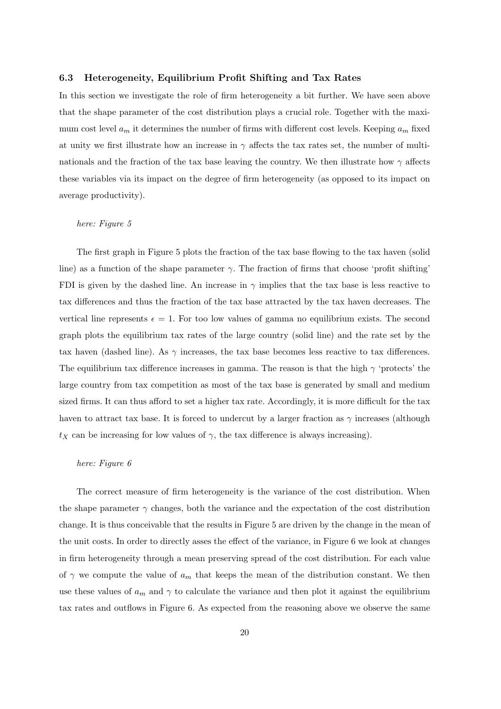#### **6.3 Heterogeneity, Equilibrium Profit Shifting and Tax Rates**

In this section we investigate the role of firm heterogeneity a bit further. We have seen above that the shape parameter of the cost distribution plays a crucial role. Together with the maximum cost level  $a_m$  it determines the number of firms with different cost levels. Keeping  $a_m$  fixed at unity we first illustrate how an increase in  $\gamma$  affects the tax rates set, the number of multinationals and the fraction of the tax base leaving the country. We then illustrate how  $\gamma$  affects these variables via its impact on the degree of firm heterogeneity (as opposed to its impact on average productivity).

#### here: Figure 5

The first graph in Figure 5 plots the fraction of the tax base flowing to the tax haven (solid line) as a function of the shape parameter  $\gamma$ . The fraction of firms that choose 'profit shifting' FDI is given by the dashed line. An increase in  $\gamma$  implies that the tax base is less reactive to tax differences and thus the fraction of the tax base attracted by the tax haven decreases. The vertical line represents  $\epsilon = 1$ . For too low values of gamma no equilibrium exists. The second graph plots the equilibrium tax rates of the large country (solid line) and the rate set by the tax haven (dashed line). As  $\gamma$  increases, the tax base becomes less reactive to tax differences. The equilibrium tax difference increases in gamma. The reason is that the high  $\gamma$  'protects' the large country from tax competition as most of the tax base is generated by small and medium sized firms. It can thus afford to set a higher tax rate. Accordingly, it is more difficult for the tax haven to attract tax base. It is forced to undercut by a larger fraction as  $\gamma$  increases (although  $t_X$  can be increasing for low values of  $\gamma$ , the tax difference is always increasing).

#### here: Figure 6

The correct measure of firm heterogeneity is the variance of the cost distribution. When the shape parameter  $\gamma$  changes, both the variance and the expectation of the cost distribution change. It is thus conceivable that the results in Figure 5 are driven by the change in the mean of the unit costs. In order to directly asses the effect of the variance, in Figure 6 we look at changes in firm heterogeneity through a mean preserving spread of the cost distribution. For each value of  $\gamma$  we compute the value of  $a_m$  that keeps the mean of the distribution constant. We then use these values of  $a_m$  and  $\gamma$  to calculate the variance and then plot it against the equilibrium tax rates and outflows in Figure 6. As expected from the reasoning above we observe the same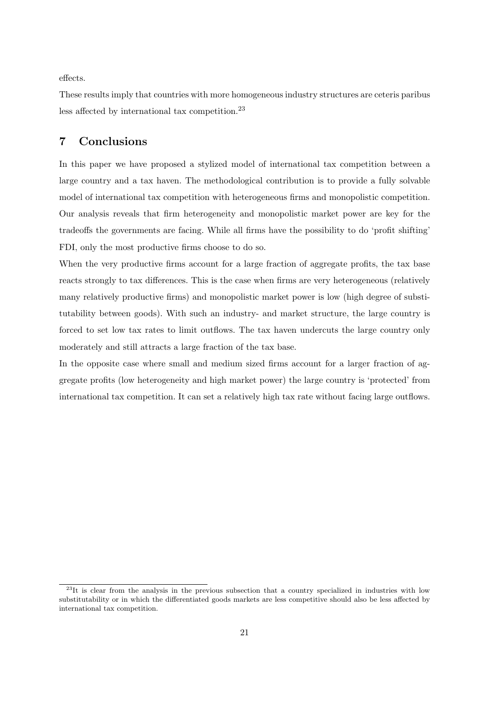effects.

These results imply that countries with more homogeneous industry structures are ceteris paribus less affected by international tax competition.<sup>23</sup>

## **7 Conclusions**

In this paper we have proposed a stylized model of international tax competition between a large country and a tax haven. The methodological contribution is to provide a fully solvable model of international tax competition with heterogeneous firms and monopolistic competition. Our analysis reveals that firm heterogeneity and monopolistic market power are key for the tradeoffs the governments are facing. While all firms have the possibility to do 'profit shifting' FDI, only the most productive firms choose to do so.

When the very productive firms account for a large fraction of aggregate profits, the tax base reacts strongly to tax differences. This is the case when firms are very heterogeneous (relatively many relatively productive firms) and monopolistic market power is low (high degree of substitutability between goods). With such an industry- and market structure, the large country is forced to set low tax rates to limit outflows. The tax haven undercuts the large country only moderately and still attracts a large fraction of the tax base.

In the opposite case where small and medium sized firms account for a larger fraction of aggregate profits (low heterogeneity and high market power) the large country is 'protected' from international tax competition. It can set a relatively high tax rate without facing large outflows.

<sup>&</sup>lt;sup>23</sup>It is clear from the analysis in the previous subsection that a country specialized in industries with low substitutability or in which the differentiated goods markets are less competitive should also be less affected by international tax competition.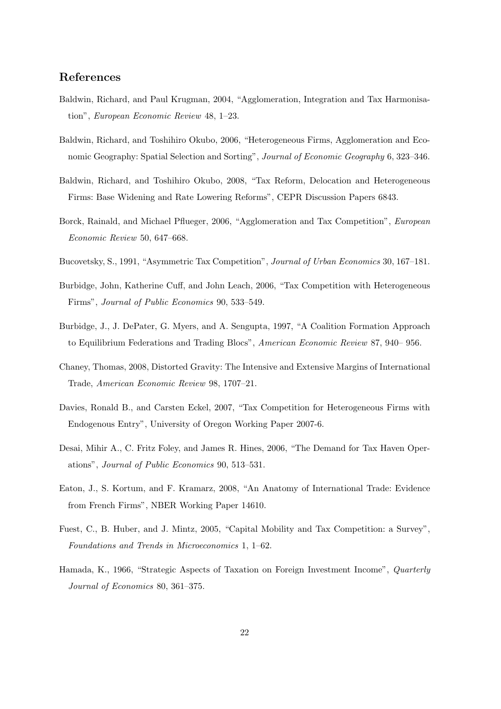## **References**

- Baldwin, Richard, and Paul Krugman, 2004, "Agglomeration, Integration and Tax Harmonisation", European Economic Review 48, 1–23.
- Baldwin, Richard, and Toshihiro Okubo, 2006, "Heterogeneous Firms, Agglomeration and Economic Geography: Spatial Selection and Sorting", Journal of Economic Geography 6, 323–346.
- Baldwin, Richard, and Toshihiro Okubo, 2008, "Tax Reform, Delocation and Heterogeneous Firms: Base Widening and Rate Lowering Reforms", CEPR Discussion Papers 6843.
- Borck, Rainald, and Michael Pflueger, 2006, "Agglomeration and Tax Competition", European Economic Review 50, 647–668.
- Bucovetsky, S., 1991, "Asymmetric Tax Competition", Journal of Urban Economics 30, 167–181.
- Burbidge, John, Katherine Cuff, and John Leach, 2006, "Tax Competition with Heterogeneous Firms", Journal of Public Economics 90, 533–549.
- Burbidge, J., J. DePater, G. Myers, and A. Sengupta, 1997, "A Coalition Formation Approach to Equilibrium Federations and Trading Blocs", American Economic Review 87, 940– 956.
- Chaney, Thomas, 2008, Distorted Gravity: The Intensive and Extensive Margins of International Trade, American Economic Review 98, 1707–21.
- Davies, Ronald B., and Carsten Eckel, 2007, "Tax Competition for Heterogeneous Firms with Endogenous Entry", University of Oregon Working Paper 2007-6.
- Desai, Mihir A., C. Fritz Foley, and James R. Hines, 2006, "The Demand for Tax Haven Operations", Journal of Public Economics 90, 513–531.
- Eaton, J., S. Kortum, and F. Kramarz, 2008, "An Anatomy of International Trade: Evidence from French Firms", NBER Working Paper 14610.
- Fuest, C., B. Huber, and J. Mintz, 2005, "Capital Mobility and Tax Competition: a Survey", Foundations and Trends in Microeconomics 1, 1–62.
- Hamada, K., 1966, "Strategic Aspects of Taxation on Foreign Investment Income", Quarterly Journal of Economics 80, 361–375.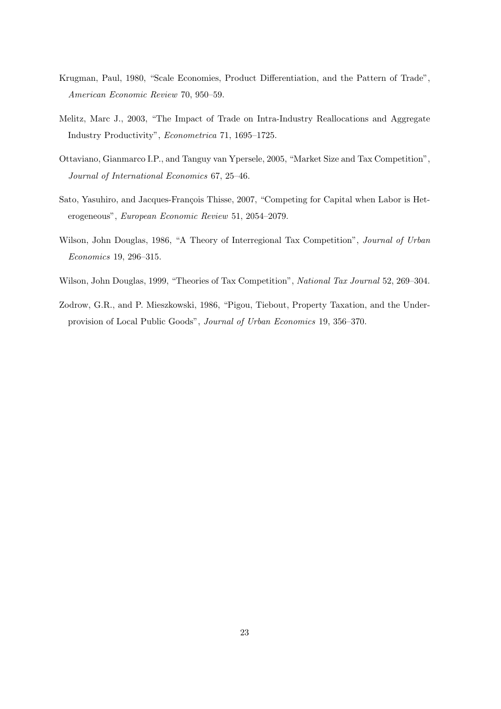- Krugman, Paul, 1980, "Scale Economies, Product Differentiation, and the Pattern of Trade", American Economic Review 70, 950–59.
- Melitz, Marc J., 2003, "The Impact of Trade on Intra-Industry Reallocations and Aggregate Industry Productivity", Econometrica 71, 1695–1725.
- Ottaviano, Gianmarco I.P., and Tanguy van Ypersele, 2005, "Market Size and Tax Competition", Journal of International Economics 67, 25–46.
- Sato, Yasuhiro, and Jacques-François Thisse, 2007, "Competing for Capital when Labor is Heterogeneous", European Economic Review 51, 2054–2079.
- Wilson, John Douglas, 1986, "A Theory of Interregional Tax Competition", *Journal of Urban* Economics 19, 296–315.
- Wilson, John Douglas, 1999, "Theories of Tax Competition", National Tax Journal 52, 269–304.
- Zodrow, G.R., and P. Mieszkowski, 1986, "Pigou, Tiebout, Property Taxation, and the Underprovision of Local Public Goods", Journal of Urban Economics 19, 356–370.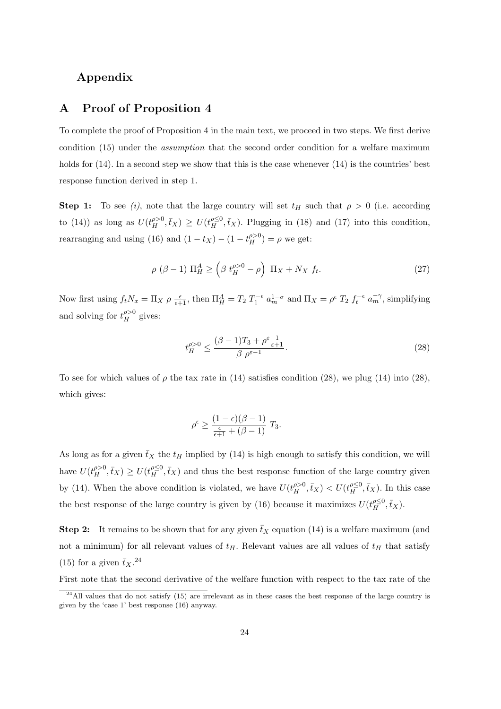## **Appendix**

## **A Proof of Proposition 4**

To complete the proof of Proposition 4 in the main text, we proceed in two steps. We first derive condition (15) under the assumption that the second order condition for a welfare maximum holds for  $(14)$ . In a second step we show that this is the case whenever  $(14)$  is the countries' best response function derived in step 1.

**Step 1:** To see (i), note that the large country will set  $t_H$  such that  $\rho > 0$  (i.e. according to (14)) as long as  $U(t_H^{\rho>0}, \bar{t}_X) \geq U(t_H^{\rho\leq 0}, \bar{t}_X)$ . Plugging in (18) and (17) into this condition, rearranging and using (16) and  $(1 - t_X) - (1 - t_H^{\rho > 0}) = \rho$  we get:

$$
\rho\ (\beta - 1)\ \Pi_H^A \ge \left(\beta \ t_H^{\rho > 0} - \rho\right) \ \Pi_X + N_X \ f_t. \tag{27}
$$

Now first using  $f_t N_x = \Pi_X \rho \frac{\epsilon}{\epsilon + 1}$ , then  $\Pi_H^A = T_2 T_1^{-\epsilon} a_m^{1-\sigma}$  and  $\Pi_X = \rho^{\epsilon} T_2 f_t^{-\epsilon} a_m^{-\gamma}$ , simplifying and solving for  $t_H^{\rho>0}$  gives:

$$
t_H^{\rho>0} \le \frac{(\beta - 1)T_3 + \rho^{\varepsilon} \frac{1}{\varepsilon + 1}}{\beta \rho^{\varepsilon - 1}}.
$$
\n(28)

To see for which values of  $\rho$  the tax rate in (14) satisfies condition (28), we plug (14) into (28), which gives:

$$
\rho^{\epsilon} \ge \frac{(1-\epsilon)(\beta-1)}{\frac{\epsilon}{\epsilon+1} + (\beta-1)} T_3.
$$

As long as for a given  $\bar{t}_X$  the  $t_H$  implied by (14) is high enough to satisfy this condition, we will have  $U(t_H^{\rho>0}, \bar{t}_X) \geq U(t_H^{\rho \leq 0}, \bar{t}_X)$  and thus the best response function of the large country given by (14). When the above condition is violated, we have  $U(t_H^{\rho>0}, \bar{t}_X) < U(t_H^{\rho\leq 0}, \bar{t}_X)$ . In this case the best response of the large country is given by (16) because it maximizes  $U(t_H^{\rho \leq 0}, \bar{t}_X)$ .

**Step 2:** It remains to be shown that for any given  $\bar{t}_X$  equation (14) is a welfare maximum (and not a minimum) for all relevant values of  $t_H$ . Relevant values are all values of  $t_H$  that satisfy (15) for a given  $\bar{t}_X$ .<sup>24</sup>

First note that the second derivative of the welfare function with respect to the tax rate of the

<sup>&</sup>lt;sup>24</sup>All values that do not satisfy (15) are irrelevant as in these cases the best response of the large country is given by the 'case 1' best response (16) anyway.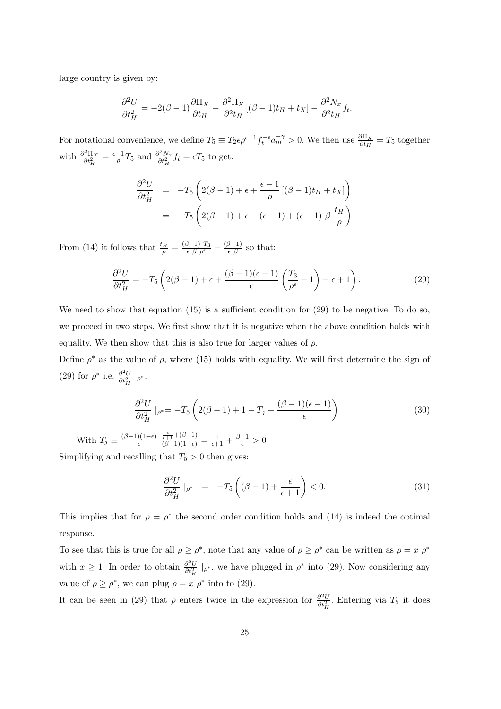large country is given by:

$$
\frac{\partial^2 U}{\partial t_H^2} = -2(\beta - 1)\frac{\partial \Pi_X}{\partial t_H} - \frac{\partial^2 \Pi_X}{\partial t_H} [(\beta - 1)t_H + t_X] - \frac{\partial^2 N_x}{\partial t_H} f_t.
$$

For notational convenience, we define  $T_5 \equiv T_2 \epsilon \rho^{\epsilon-1} f_t^{-\epsilon} a_m^{-\gamma} > 0$ . We then use  $\frac{\partial \Pi_X}{\partial t_H} = T_5$  together with  $\frac{\partial^2 \Pi_X}{\partial t_H^2} = \frac{\epsilon - 1}{\rho} T_5$  and  $\frac{\partial^2 N_x}{\partial t_H^2} f_t = \epsilon T_5$  to get:

$$
\frac{\partial^2 U}{\partial t_H^2} = -T_5 \left( 2(\beta - 1) + \epsilon + \frac{\epsilon - 1}{\rho} \left[ (\beta - 1)t_H + t_X \right] \right)
$$

$$
= -T_5 \left( 2(\beta - 1) + \epsilon - (\epsilon - 1) + (\epsilon - 1) \beta \frac{t_H}{\rho} \right)
$$

From (14) it follows that  $\frac{t_H}{\rho} = \frac{(\beta - 1) T_3}{\epsilon \beta \rho^{\epsilon}} - \frac{(\beta - 1)}{\epsilon \beta}$  so that:

$$
\frac{\partial^2 U}{\partial t_H^2} = -T_5 \left( 2(\beta - 1) + \epsilon + \frac{(\beta - 1)(\epsilon - 1)}{\epsilon} \left( \frac{T_3}{\rho^{\epsilon}} - 1 \right) - \epsilon + 1 \right). \tag{29}
$$

We need to show that equation  $(15)$  is a sufficient condition for  $(29)$  to be negative. To do so, we proceed in two steps. We first show that it is negative when the above condition holds with equality. We then show that this is also true for larger values of  $\rho$ .

Define  $\rho^*$  as the value of  $\rho$ , where (15) holds with equality. We will first determine the sign of (29) for  $\rho^*$  i.e.  $\frac{\partial^2 U}{\partial t_H^2}|_{\rho^*}$ .

$$
\frac{\partial^2 U}{\partial t_H^2}|_{\rho^*} = -T_5 \left(2(\beta - 1) + 1 - T_j - \frac{(\beta - 1)(\epsilon - 1)}{\epsilon}\right)
$$
\n(30)

With  $T_j \equiv \frac{(\beta-1)(1-\epsilon)}{\epsilon}$  $\frac{\frac{\epsilon}{\epsilon+1} + (\beta - 1)}{(\beta - 1)(1 - \epsilon)} = \frac{1}{\epsilon + 1} + \frac{\beta - 1}{\epsilon} > 0$ 

Simplifying and recalling that  $T_5 > 0$  then gives:

$$
\frac{\partial^2 U}{\partial t_H^2}\big|_{\rho^*} = -T_5\left((\beta - 1) + \frac{\epsilon}{\epsilon + 1}\right) < 0. \tag{31}
$$

This implies that for  $\rho = \rho^*$  the second order condition holds and (14) is indeed the optimal response.

To see that this is true for all  $\rho \geq \rho^*$ , note that any value of  $\rho \geq \rho^*$  can be written as  $\rho = x \rho^*$ with  $x \ge 1$ . In order to obtain  $\frac{\partial^2 U}{\partial t_H^2}|_{\rho^*}$ , we have plugged in  $\rho^*$  into (29). Now considering any value of  $\rho \geq \rho^*$ , we can plug  $\rho = x \rho^*$  into to (29).

It can be seen in (29) that  $\rho$  enters twice in the expression for  $\frac{\partial^2 U}{\partial t_H^2}$ . Entering via  $T_5$  it does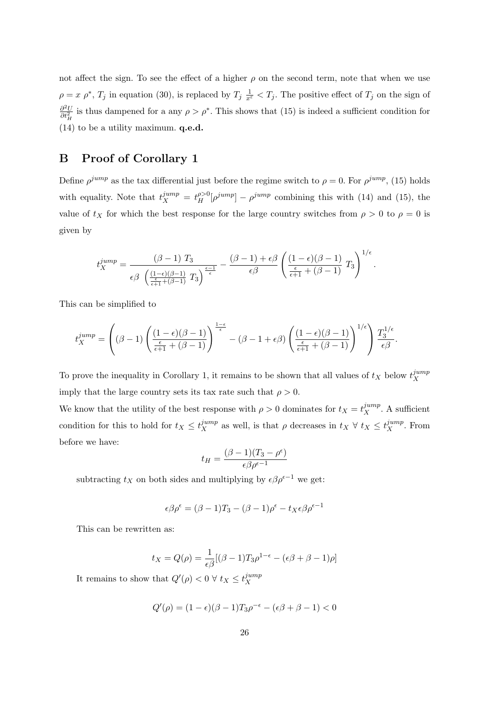not affect the sign. To see the effect of a higher  $\rho$  on the second term, note that when we use  $\rho = x \rho^*, T_j$  in equation (30), is replaced by  $T_j \frac{1}{x^{\varepsilon}} < T_j$ . The positive effect of  $T_j$  on the sign of  $\partial^2U$  $\frac{\partial^2 U}{\partial t_H^2}$  is thus dampened for a any  $\rho > \rho^*$ . This shows that (15) is indeed a sufficient condition for (14) to be a utility maximum. **q.e.d.**

## **B Proof of Corollary 1**

Define  $\rho^{jump}$  as the tax differential just before the regime switch to  $\rho = 0$ . For  $\rho^{jump}$ , (15) holds with equality. Note that  $t_X^{jump} = t_H^{p>0}[\rho^{jump}] - \rho^{jump}$  combining this with (14) and (15), the value of  $t_X$  for which the best response for the large country switches from  $\rho > 0$  to  $\rho = 0$  is given by

$$
t_X^{jump} = \frac{(\beta - 1) T_3}{\epsilon \beta \left(\frac{(1 - \epsilon)(\beta - 1)}{\epsilon + 1} T_3\right)^{\frac{\epsilon - 1}{\epsilon}}} - \frac{(\beta - 1) + \epsilon \beta}{\epsilon \beta} \left(\frac{(1 - \epsilon)(\beta - 1)}{\epsilon + 1} T_3\right)^{1/\epsilon}.
$$

This can be simplified to

$$
t_X^{jump} = \left((\beta - 1)\left(\frac{(1-\epsilon)(\beta-1)}{\frac{\epsilon}{\epsilon+1}+(\beta-1)}\right)^{\frac{1-\epsilon}{\epsilon}} - (\beta - 1 + \epsilon\beta)\left(\frac{(1-\epsilon)(\beta-1)}{\frac{\epsilon}{\epsilon+1}+(\beta-1)}\right)^{1/\epsilon}\right)\frac{T_3^{1/\epsilon}}{\epsilon\beta}.
$$

To prove the inequality in Corollary 1, it remains to be shown that all values of  $t_X$  below  $t_X^{jump}$ X imply that the large country sets its tax rate such that  $\rho > 0$ .

We know that the utility of the best response with  $\rho > 0$  dominates for  $t_X = t_X^{jump}$ . A sufficient condition for this to hold for  $t_X \leq t_X^{jump}$  as well, is that  $\rho$  decreases in  $t_X \forall t_X \leq t_X^{jump}$ . From before we have:

$$
t_H = \frac{(\beta - 1)(T_3 - \rho^{\epsilon})}{\epsilon \beta \rho^{\epsilon - 1}}
$$

subtracting  $t_X$  on both sides and multiplying by  $\epsilon \beta \rho^{\epsilon-1}$  we get:

$$
\epsilon \beta \rho^{\epsilon} = (\beta - 1)T_3 - (\beta - 1)\rho^{\epsilon} - t_X \epsilon \beta \rho^{\epsilon - 1}
$$

This can be rewritten as:

$$
t_X = Q(\rho) = \frac{1}{\epsilon \beta} [(\beta - 1)T_3 \rho^{1-\epsilon} - (\epsilon \beta + \beta - 1)\rho]
$$

It remains to show that  $Q'(\rho) < 0 \ \forall \ t_X \leq t_X^{jump}$ X

$$
Q'(\rho) = (1 - \epsilon)(\beta - 1)T_3\rho^{-\epsilon} - (\epsilon\beta + \beta - 1) < 0
$$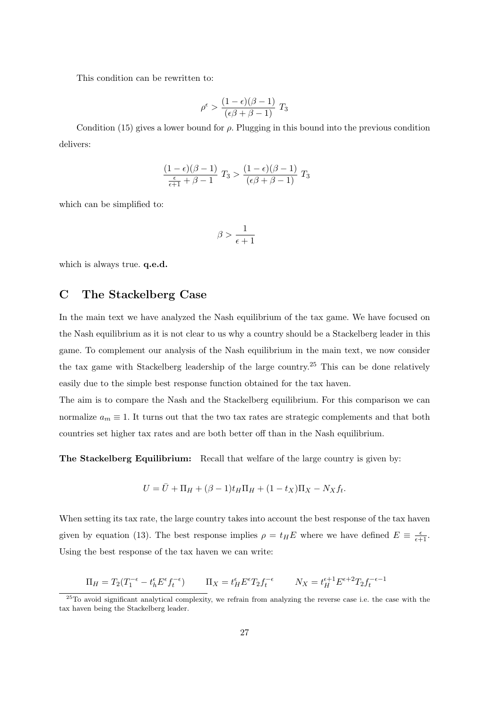This condition can be rewritten to:

$$
\rho^{\epsilon} > \frac{(1 - \epsilon)(\beta - 1)}{(\epsilon \beta + \beta - 1)} T_3
$$

Condition (15) gives a lower bound for  $\rho$ . Plugging in this bound into the previous condition delivers:

$$
\frac{(1-\epsilon)(\beta-1)}{\frac{\epsilon}{\epsilon+1}+\beta-1}\ T_3>\frac{(1-\epsilon)(\beta-1)}{(\epsilon\beta+\beta-1)}\ T_3
$$

which can be simplified to:

$$
\beta>\frac{1}{\epsilon+1}
$$

which is always true. **q.e.d.**

## **C The Stackelberg Case**

In the main text we have analyzed the Nash equilibrium of the tax game. We have focused on the Nash equilibrium as it is not clear to us why a country should be a Stackelberg leader in this game. To complement our analysis of the Nash equilibrium in the main text, we now consider the tax game with Stackelberg leadership of the large country.<sup>25</sup> This can be done relatively easily due to the simple best response function obtained for the tax haven.

The aim is to compare the Nash and the Stackelberg equilibrium. For this comparison we can normalize  $a_m \equiv 1$ . It turns out that the two tax rates are strategic complements and that both countries set higher tax rates and are both better off than in the Nash equilibrium.

**The Stackelberg Equilibrium:** Recall that welfare of the large country is given by:

$$
U = \bar{U} + \Pi_H + (\beta - 1)t_H \Pi_H + (1 - t_X)\Pi_X - N_X f_t.
$$

When setting its tax rate, the large country takes into account the best response of the tax haven given by equation (13). The best response implies  $\rho = t_H E$  where we have defined  $E = \frac{\epsilon}{\epsilon + 1}$ . Using the best response of the tax haven we can write:

$$
\Pi_H = T_2(T_1^{-\epsilon} - t_h^{\epsilon} E^{\epsilon} f_t^{-\epsilon}) \qquad \Pi_X = t_H^{\epsilon} E^{\epsilon} T_2 f_t^{-\epsilon} \qquad N_X = t_H^{\epsilon+1} E^{\epsilon+2} T_2 f_t^{-\epsilon-1}
$$

<sup>25</sup>To avoid significant analytical complexity, we refrain from analyzing the reverse case i.e. the case with the tax haven being the Stackelberg leader.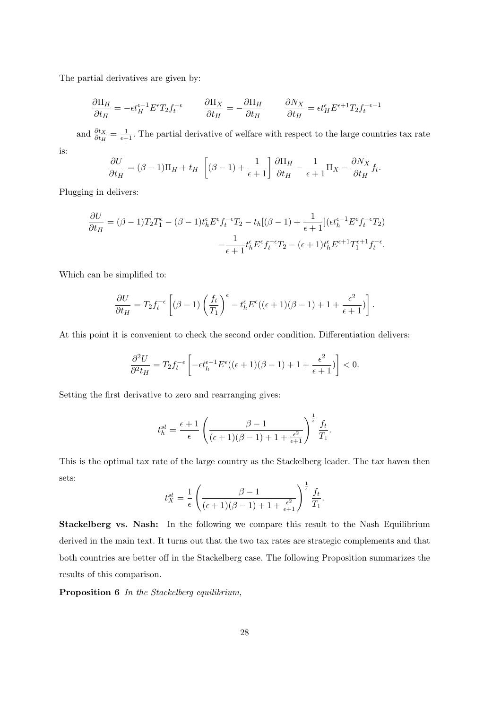The partial derivatives are given by:

$$
\frac{\partial \Pi_H}{\partial t_H} = -\epsilon t_H^{\epsilon-1} E^{\epsilon} T_2 f_t^{-\epsilon} \qquad \frac{\partial \Pi_X}{\partial t_H} = -\frac{\partial \Pi_H}{\partial t_H} \qquad \frac{\partial N_X}{\partial t_H} = \epsilon t_H^{\epsilon} E^{\epsilon+1} T_2 f_t^{-\epsilon-1}
$$

and  $\frac{\partial t_X}{\partial t_H} = \frac{1}{\epsilon + 1}$ . The partial derivative of welfare with respect to the large countries tax rate is:

$$
\frac{\partial U}{\partial t_H} = (\beta - 1)\Pi_H + t_H \left[ (\beta - 1) + \frac{1}{\epsilon + 1} \right] \frac{\partial \Pi_H}{\partial t_H} - \frac{1}{\epsilon + 1} \Pi_X - \frac{\partial N_X}{\partial t_H} f_t.
$$

Plugging in delivers:

$$
\frac{\partial U}{\partial t_H} = (\beta - 1)T_2 T_1^{\epsilon} - (\beta - 1)t_h^{\epsilon} E^{\epsilon} f_t^{-\epsilon} T_2 - t_h[(\beta - 1) + \frac{1}{\epsilon + 1}](\epsilon t_h^{\epsilon - 1} E^{\epsilon} f_t^{-\epsilon} T_2)
$$

$$
-\frac{1}{\epsilon + 1} t_h^{\epsilon} E^{\epsilon} f_t^{-\epsilon} T_2 - (\epsilon + 1)t_h^{\epsilon} E^{\epsilon + 1} T_1^{\epsilon + 1} f_t^{-\epsilon}.
$$

Which can be simplified to:

$$
\frac{\partial U}{\partial t_H} = T_2 f_t^{-\epsilon} \left[ (\beta - 1) \left( \frac{f_t}{T_1} \right)^{\epsilon} - t_h^{\epsilon} E^{\epsilon} ((\epsilon + 1)(\beta - 1) + 1 + \frac{\epsilon^2}{\epsilon + 1}) \right].
$$

At this point it is convenient to check the second order condition. Differentiation delivers:

$$
\frac{\partial^2 U}{\partial^2 t_H} = T_2 f_t^{-\epsilon} \left[ -\epsilon t_h^{\epsilon-1} E^{\epsilon}((\epsilon+1)(\beta-1) + 1 + \frac{\epsilon^2}{\epsilon+1}) \right] < 0.
$$

Setting the first derivative to zero and rearranging gives:

$$
t_h^{st} = \frac{\epsilon + 1}{\epsilon} \left( \frac{\beta - 1}{(\epsilon + 1)(\beta - 1) + 1 + \frac{\epsilon^2}{\epsilon + 1}} \right)^{\frac{1}{\epsilon}} \frac{f_t}{T_1}.
$$

This is the optimal tax rate of the large country as the Stackelberg leader. The tax haven then sets:

$$
t_X^{st} = \frac{1}{\epsilon} \left( \frac{\beta - 1}{(\epsilon + 1)(\beta - 1) + 1 + \frac{\epsilon^2}{\epsilon + 1}} \right)^{\frac{1}{\epsilon}} \frac{f_t}{T_1}.
$$

**Stackelberg vs. Nash:** In the following we compare this result to the Nash Equilibrium derived in the main text. It turns out that the two tax rates are strategic complements and that both countries are better off in the Stackelberg case. The following Proposition summarizes the results of this comparison.

**Proposition 6** In the Stackelberg equilibrium,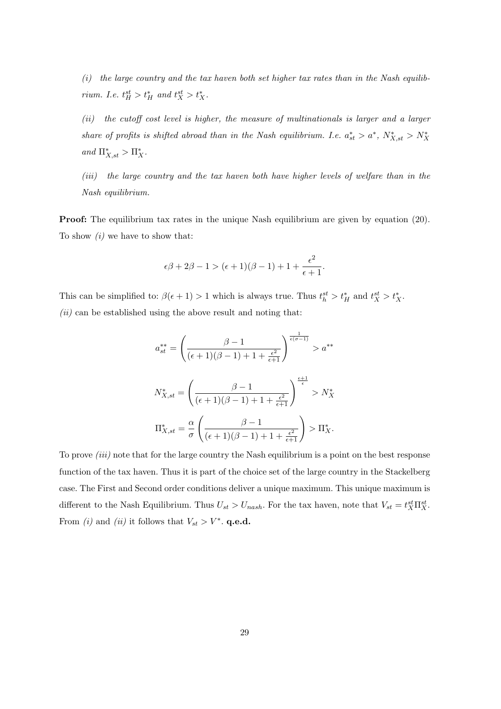$(i)$  the large country and the tax haven both set higher tax rates than in the Nash equilibrium. I.e.  $t_H^{st} > t_H^*$  and  $t_X^{st} > t_X^*$ .

(ii) the cutoff cost level is higher, the measure of multinationals is larger and a larger share of profits is shifted abroad than in the Nash equilibrium. I.e.  $a_{st}^* > a^*$ ,  $N_{X,st}^* > N_X^*$ and  $\Pi_{X,st}^* > \Pi_X^*$ .

(iii) the large country and the tax haven both have higher levels of welfare than in the Nash equilibrium.

**Proof:** The equilibrium tax rates in the unique Nash equilibrium are given by equation (20). To show  $(i)$  we have to show that:

$$
\epsilon \beta + 2\beta -1 > (\epsilon+1)(\beta-1) + 1 + \frac{\epsilon^2}{\epsilon+1}.
$$

This can be simplified to:  $\beta(\epsilon+1) > 1$  which is always true. Thus  $t_h^{st} > t_H^*$  and  $t_X^{st} > t_X^*$ .  $(ii)$  can be established using the above result and noting that:

$$
a_{st}^{**} = \left(\frac{\beta - 1}{(\epsilon + 1)(\beta - 1) + 1 + \frac{\epsilon^2}{\epsilon + 1}}\right)^{\frac{1}{\epsilon(\sigma - 1)}} > a^{**}
$$

$$
N_{X, st}^* = \left(\frac{\beta - 1}{(\epsilon + 1)(\beta - 1) + 1 + \frac{\epsilon^2}{\epsilon + 1}}\right)^{\frac{\epsilon + 1}{\epsilon}} > N_X^*
$$

$$
\Pi_{X, st}^* = \frac{\alpha}{\sigma} \left(\frac{\beta - 1}{(\epsilon + 1)(\beta - 1) + 1 + \frac{\epsilon^2}{\epsilon + 1}}\right) > \Pi_X^*.
$$

To prove *(iii)* note that for the large country the Nash equilibrium is a point on the best response function of the tax haven. Thus it is part of the choice set of the large country in the Stackelberg case. The First and Second order conditions deliver a unique maximum. This unique maximum is different to the Nash Equilibrium. Thus  $U_{st} > U_{nash}$ . For the tax haven, note that  $V_{st} = t_X^{st} \Pi_X^{st}$ . From *(i)* and *(ii)* it follows that  $V_{st} > V^*$ . **q.e.d.**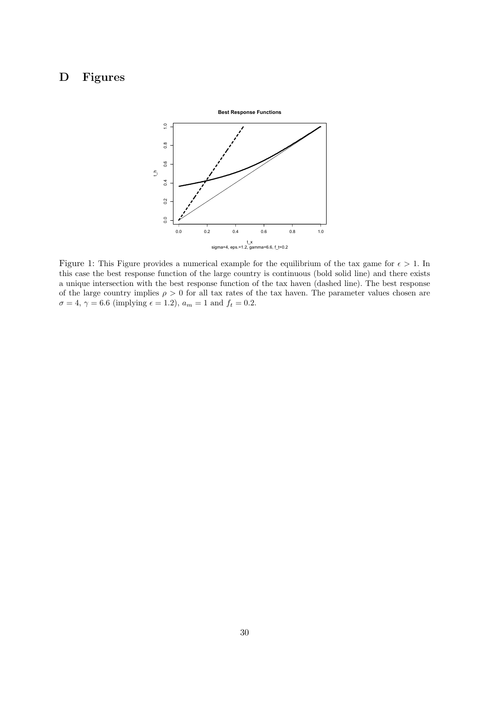## **D Figures**



Figure 1: This Figure provides a numerical example for the equilibrium of the tax game for  $\epsilon > 1$ . In this case the best response function of the large country is continuous (bold solid line) and there exists a unique intersection with the best response function of the tax haven (dashed line). The best response of the large country implies  $\rho > 0$  for all tax rates of the tax haven. The parameter values chosen are  $\sigma = 4, \gamma = 6.6$  (implying  $\epsilon = 1.2$ ),  $a_m = 1$  and  $f_t = 0.2$ .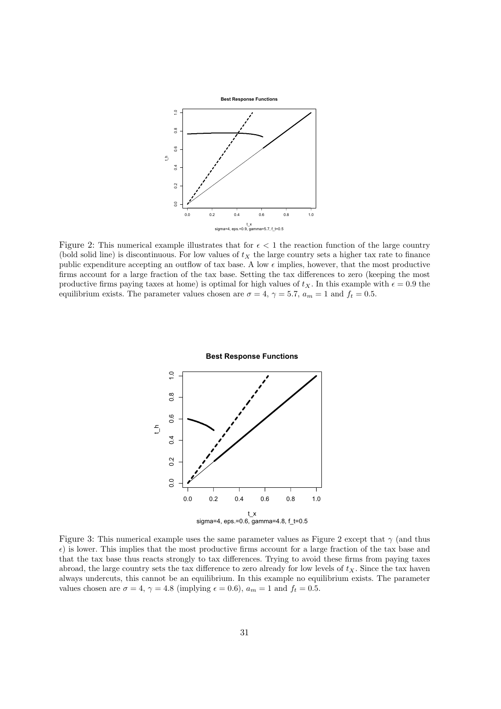

Figure 2: This numerical example illustrates that for  $\epsilon < 1$  the reaction function of the large country (bold solid line) is discontinuous. For low values of  $t<sub>X</sub>$  the large country sets a higher tax rate to finance public expenditure accepting an outflow of tax base. A low  $\epsilon$  implies, however, that the most productive firms account for a large fraction of the tax base. Setting the tax differences to zero (keeping the most productive firms paying taxes at home) is optimal for high values of  $t_X$ . In this example with  $\epsilon = 0.9$  the equilibrium exists. The parameter values chosen are  $\sigma = 4$ ,  $\gamma = 5.7$ ,  $a_m = 1$  and  $f_t = 0.5$ .



Figure 3: This numerical example uses the same parameter values as Figure 2 except that  $\gamma$  (and thus  $\epsilon$ ) is lower. This implies that the most productive firms account for a large fraction of the tax base and that the tax base thus reacts strongly to tax differences. Trying to avoid these firms from paying taxes abroad, the large country sets the tax difference to zero already for low levels of  $t<sub>X</sub>$ . Since the tax haven always undercuts, this cannot be an equilibrium. In this example no equilibrium exists. The parameter values chosen are  $\sigma = 4$ ,  $\gamma = 4.8$  (implying  $\epsilon = 0.6$ ),  $a_m = 1$  and  $f_t = 0.5$ .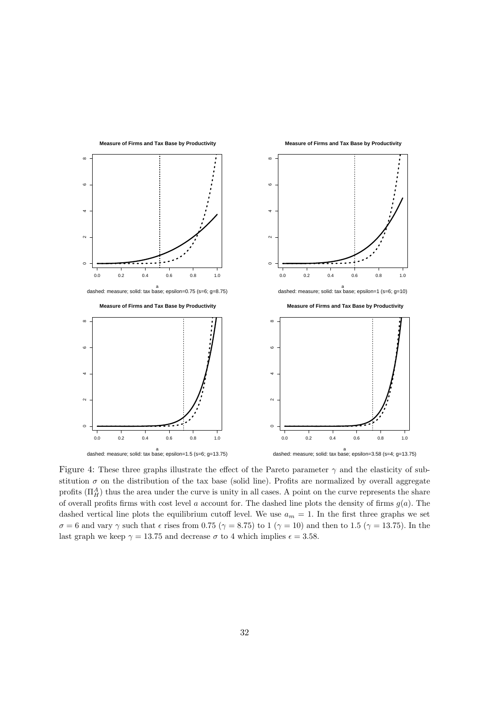

Figure 4: These three graphs illustrate the effect of the Pareto parameter  $\gamma$  and the elasticity of substitution  $\sigma$  on the distribution of the tax base (solid line). Profits are normalized by overall aggregate profits  $(\Pi_H^A)$  thus the area under the curve is unity in all cases. A point on the curve represents the share of overall profits firms with cost level a account for. The dashed line plots the density of firms  $g(a)$ . The dashed vertical line plots the equilibrium cutoff level. We use  $a_m = 1$ . In the first three graphs we set  $\sigma = 6$  and vary  $\gamma$  such that  $\epsilon$  rises from 0.75 ( $\gamma = 8.75$ ) to 1 ( $\gamma = 10$ ) and then to 1.5 ( $\gamma = 13.75$ ). In the last graph we keep  $\gamma = 13.75$  and decrease  $\sigma$  to 4 which implies  $\epsilon = 3.58$ .